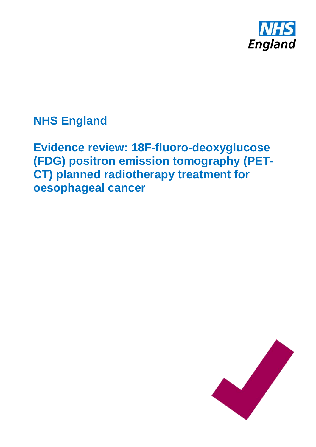

**NHS England**

**Evidence review: 18F-fluoro-deoxyglucose (FDG) positron emission tomography (PET-CT) planned radiotherapy treatment for oesophageal cancer**

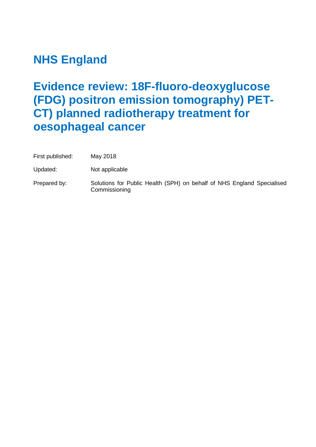# **NHS England**

# **Evidence review: 18F-fluoro-deoxyglucose (FDG) positron emission tomography) PET-CT) planned radiotherapy treatment for oesophageal cancer**

| First published: | May 2018 |
|------------------|----------|
|------------------|----------|

Updated: Not applicable

Prepared by: Solutions for Public Health (SPH) on behalf of NHS England Specialised Commissioning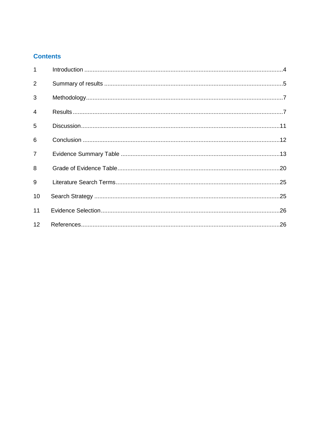# **Contents**

| $\mathbf{1}$   |  |
|----------------|--|
| $\overline{2}$ |  |
| 3              |  |
| $\overline{4}$ |  |
| 5              |  |
| 6              |  |
| $\overline{7}$ |  |
| 8              |  |
| 9              |  |
| 10             |  |
| 11             |  |
| 12             |  |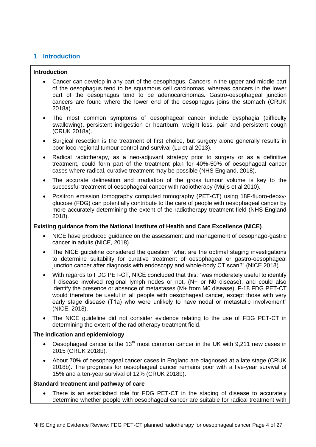# <span id="page-3-0"></span>**1 Introduction**

#### **Introduction**

- Cancer can develop in any part of the oesophagus. Cancers in the upper and middle part of the oesophagus tend to be squamous cell carcinomas, whereas cancers in the lower part of the oesophagus tend to be adenocarcinomas. Gastro-oesophageal junction cancers are found where the lower end of the oesophagus joins the stomach (CRUK 2018a).
- The most common symptoms of oesophageal cancer include dysphagia (difficulty swallowing), persistent indigestion or heartburn, weight loss, pain and persistent cough (CRUK 2018a).
- Surgical resection is the treatment of first choice, but surgery alone generally results in poor loco-regional tumour control and survival (Lu et al 2013).
- Radical radiotherapy, as a neo-adjuvant strategy prior to surgery or as a definitive treatment, could form part of the treatment plan for 40%-50% of oesophageal cancer cases where radical, curative treatment may be possible (NHS England, 2018).
- The accurate delineation and irradiation of the gross tumour volume is key to the successful treatment of oesophageal cancer with radiotherapy (Muijs et al 2010).
- Positron emission tomography computed tomography (PET-CT) using 18F-fluoro-deoxyglucose (FDG) can potentially contribute to the care of people with oesophageal cancer by more accurately determining the extent of the radiotherapy treatment field (NHS England 2018).

#### **Existing guidance from the National Institute of Health and Care Excellence (NICE)**

- NICE have produced guidance on the assessment and management of oesophago-gastric cancer in adults (NICE, 2018).
- The NICE guideline considered the question "what are the optimal staging investigations to determine suitability for curative treatment of oesophageal or gastro-oesophageal junction cancer after diagnosis with endoscopy and whole-body CT scan?" (NICE 2018).
- With regards to FDG PET-CT, NICE concluded that this: "was moderately useful to identify if disease involved regional lymph nodes or not, (N+ or N0 disease), and could also identify the presence or absence of metastases (M+ from M0 disease). F-18 FDG PET-CT would therefore be useful in all people with oesophageal cancer, except those with very early stage disease (T1a) who were unlikely to have nodal or metastatic involvement" (NICE, 2018).
- The NICE guideline did not consider evidence relating to the use of FDG PET-CT in determining the extent of the radiotherapy treatment field.

#### **The indication and epidemiology**

- Oesophageal cancer is the 13<sup>th</sup> most common cancer in the UK with 9,211 new cases in 2015 (CRUK 2018b).
- About 70% of oesophageal cancer cases in England are diagnosed at a late stage (CRUK 2018b). The prognosis for oesophageal cancer remains poor with a five-year survival of 15% and a ten-year survival of 12% (CRUK 2018b).

#### **Standard treatment and pathway of care**

 There is an established role for FDG PET-CT in the staging of disease to accurately determine whether people with oesophageal cancer are suitable for radical treatment with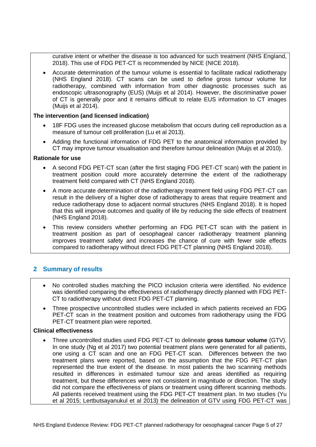curative intent or whether the disease is too advanced for such treatment (NHS England, 2018). This use of FDG PET-CT is recommended by NICE (NICE 2018).

 Accurate determination of the tumour volume is essential to facilitate radical radiotherapy (NHS England 2018). CT scans can be used to define gross tumour volume for radiotherapy, combined with information from other diagnostic processes such as endoscopic ultrasonography (EUS) (Muijs et al 2014). However, the discriminative power of CT is generally poor and it remains difficult to relate EUS information to CT images (Muijs et al 2014).

#### **The intervention (and licensed indication)**

- 18F FDG uses the increased glucose metabolism that occurs during cell reproduction as a measure of tumour cell proliferation (Lu et al 2013).
- Adding the functional information of FDG PET to the anatomical information provided by CT may improve tumour visualisation and therefore tumour delineation (Muijs et al 2010).

### **Rationale for use**

- A second FDG PET-CT scan (after the first staging FDG PET-CT scan) with the patient in treatment position could more accurately determine the extent of the radiotherapy treatment field compared with CT (NHS England 2018).
- A more accurate determination of the radiotherapy treatment field using FDG PET-CT can result in the delivery of a higher dose of radiotherapy to areas that require treatment and reduce radiotherapy dose to adjacent normal structures (NHS England 2018). It is hoped that this will improve outcomes and quality of life by reducing the side effects of treatment (NHS England 2018).
- This review considers whether performing an FDG PET-CT scan with the patient in treatment position as part of oesophageal cancer radiotherapy treatment planning improves treatment safety and increases the chance of cure with fewer side effects compared to radiotherapy without direct FDG PET-CT planning (NHS England 2018).

# <span id="page-4-0"></span>**2 Summary of results**

- No controlled studies matching the PICO inclusion criteria were identified. No evidence was identified comparing the effectiveness of radiotherapy directly planned with FDG PET-CT to radiotherapy without direct FDG PET-CT planning.
- Three prospective uncontrolled studies were included in which patients received an FDG PET-CT scan in the treatment position and outcomes from radiotherapy using the FDG PET-CT treatment plan were reported.

## **Clinical effectiveness**

 Three uncontrolled studies used FDG PET-CT to delineate **gross tumour volume** (GTV). In one study (Ng et al 2017) two potential treatment plans were generated for all patients, one using a CT scan and one an FDG PET-CT scan. Differences between the two treatment plans were reported, based on the assumption that the FDG PET-CT plan represented the true extent of the disease. In most patients the two scanning methods resulted in differences in estimated tumour size and areas identified as requiring treatment, but these differences were not consistent in magnitude or direction. The study did not compare the effectiveness of plans or treatment using different scanning methods. All patients received treatment using the FDG PET-CT treatment plan. In two studies (Yu et al 2015; Lertbutsayanukul et al 2013) the delineation of GTV using FDG PET-CT was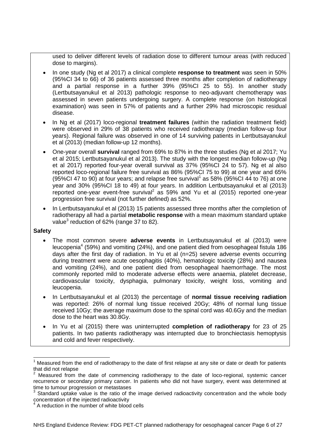used to deliver different levels of radiation dose to different tumour areas (with reduced dose to margins).

- In one study (Ng et al 2017) a clinical complete **response to treatment** was seen in 50% (95%CI 34 to 66) of 36 patients assessed three months after completion of radiotherapy and a partial response in a further 39% (95%CI 25 to 55). In another study (Lertbutsayanukul et al 2013) pathologic response to neo-adjuvant chemotherapy was assessed in seven patients undergoing surgery. A complete response (on histological examination) was seen in 57% of patients and a further 29% had microscopic residual disease.
- In Ng et al (2017) loco-regional **treatment failures** (within the radiation treatment field) were observed in 29% of 38 patients who received radiotherapy (median follow-up four years). Regional failure was observed in one of 14 surviving patients in Lertbutsayanukul et al (2013) (median follow-up 12 months).
- One-year overall **survival** ranged from 69% to 87% in the three studies (Ng et al 2017; Yu et al 2015; Lertbutsayanukul et al 2013). The study with the longest median follow-up (Ng et al 2017) reported four-year overall survival as 37% (95%CI 24 to 57). Ng et al also reported loco-regional failure free survival as 86% (95%CI 75 to 99) at one year and 65% (95%CI 47 to 90) at four years; and relapse free survival<sup>1</sup> as 58% (95%CI 44 to 76) at one year and 30% (95%CI 18 to 49) at four years. In addition Lertbutsayanukul et al (2013) reported one-year event-free survival<sup>2</sup> as 59% and Yu et al (2015) reported one-year progression free survival (not further defined) as 52%.
- In Lertbutsayanukul et al (2013) 15 patients assessed three months after the completion of radiotherapy all had a partial **metabolic response** with a mean maximum standard uptake value<sup>3</sup> reduction of 62% (range 37 to 82).

#### **Safety**

- The most common severe **adverse events** in Lertbutsayanukul et al (2013) were leucopenia<sup>4</sup> (59%) and vomiting (24%), and one patient died from oesophageal fistula 186 days after the first day of radiation. In Yu et al (n=25) severe adverse events occurring during treatment were acute oesophagitis (40%), hematologic toxicity (28%) and nausea and vomiting (24%), and one patient died from oesophageal haemorrhage. The most commonly reported mild to moderate adverse effects were anaemia, platelet decrease, cardiovascular toxicity, dysphagia, pulmonary toxicity, weight loss, vomiting and leucopenia.
- In Lertbutsayanukul et al (2013) the percentage of **normal tissue receiving radiation** was reported: 26% of normal lung tissue received 20Gy; 48% of normal lung tissue received 10Gy; the average maximum dose to the spinal cord was 40.6Gy and the median dose to the heart was 30.8Gy.
- In Yu et al (2015) there was uninterrupted **completion of radiotherapy** for 23 of 25 patients. In two patients radiotherapy was interrupted due to bronchiectasis hemoptysis and cold and fever respectively.

 $\overline{\phantom{a}}$ <sup>1</sup> Measured from the end of radiotherapy to the date of first relapse at any site or date or death for patients that did not relapse

 $2$  Measured from the date of commencing radiotherapy to the date of loco-regional, systemic cancer recurrence or secondary primary cancer. In patients who did not have surgery, event was determined at time to tumour progression or metastases

<sup>&</sup>lt;sup>3</sup> Standard uptake value is the ratio of the image derived radioactivity concentration and the whole body concentration of the injected radioactivity 4

A reduction in the number of white blood cells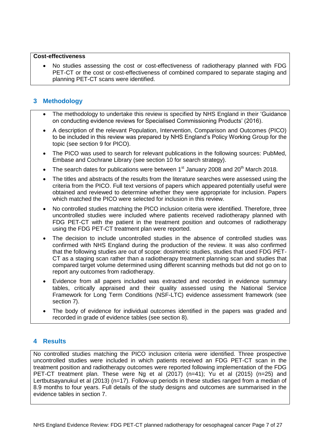#### **Cost-effectiveness**

 No studies assessing the cost or cost-effectiveness of radiotherapy planned with FDG PET-CT or the cost or cost-effectiveness of combined compared to separate staging and planning PET-CT scans were identified.

# <span id="page-6-0"></span>**3 Methodology**

- The methodology to undertake this review is specified by NHS England in their 'Guidance on conducting evidence reviews for Specialised Commissioning Products' (2016).
- A description of the relevant Population, Intervention, Comparison and Outcomes (PICO) to be included in this review was prepared by NHS England's Policy Working Group for the topic (see section 9 for PICO).
- The PICO was used to search for relevant publications in the following sources: PubMed, Embase and Cochrane Library (see section 10 for search strategy).
- The search dates for publications were between  $1<sup>st</sup>$  January 2008 and 20<sup>th</sup> March 2018.
- The titles and abstracts of the results from the literature searches were assessed using the criteria from the PICO. Full text versions of papers which appeared potentially useful were obtained and reviewed to determine whether they were appropriate for inclusion. Papers which matched the PICO were selected for inclusion in this review.
- No controlled studies matching the PICO inclusion criteria were identified. Therefore, three uncontrolled studies were included where patients received radiotherapy planned with FDG PET-CT with the patient in the treatment position and outcomes of radiotherapy using the FDG PET-CT treatment plan were reported.
- The decision to include uncontrolled studies in the absence of controlled studies was confirmed with NHS England during the production of the review. It was also confirmed that the following studies are out of scope: dosimetric studies, studies that used FDG PET-CT as a staging scan rather than a radiotherapy treatment planning scan and studies that compared target volume determined using different scanning methods but did not go on to report any outcomes from radiotherapy.
- Evidence from all papers included was extracted and recorded in evidence summary tables, critically appraised and their quality assessed using the National Service Framework for Long Term Conditions (NSF-LTC) evidence assessment framework (see section 7).
- The body of evidence for individual outcomes identified in the papers was graded and recorded in grade of evidence tables (see section 8).

# <span id="page-6-1"></span>**4 Results**

No controlled studies matching the PICO inclusion criteria were identified. Three prospective uncontrolled studies were included in which patients received an FDG PET-CT scan in the treatment position and radiotherapy outcomes were reported following implementation of the FDG PET-CT treatment plan. These were Ng et al (2017) (n=41); Yu et al (2015) (n=25) and Lertbutsayanukul et al (2013) (n=17). Follow-up periods in these studies ranged from a median of 8.9 months to four years. Full details of the study designs and outcomes are summarised in the evidence tables in section 7.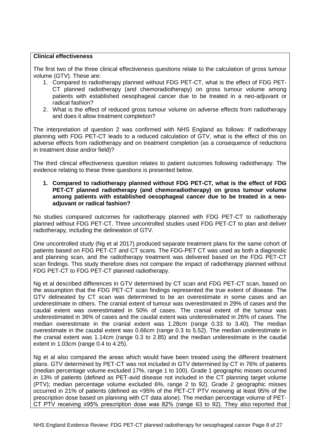#### **Clinical effectiveness**

The first two of the three clinical effectiveness questions relate to the calculation of gross tumour volume (GTV). These are:

- 1. Compared to radiotherapy planned without FDG PET-CT, what is the effect of FDG PET-CT planned radiotherapy (and chemoradiotherapy) on gross tumour volume among patients with established oesophageal cancer due to be treated in a neo-adjuvant or radical fashion?
- 2. What is the effect of reduced gross tumour volume on adverse effects from radiotherapy and does it allow treatment completion?

The interpretation of question 2 was confirmed with NHS England as follows: If radiotherapy planning with FDG PET-CT leads to a reduced calculation of GTV, what is the effect of this on adverse effects from radiotherapy and on treatment completion (as a consequence of reductions in treatment dose and/or field)?

The third clinical effectiveness question relates to patient outcomes following radiotherapy. The evidence relating to these three questions is presented below.

**1. Compared to radiotherapy planned without FDG PET-CT, what is the effect of FDG PET-CT planned radiotherapy (and chemoradiotherapy) on gross tumour volume among patients with established oesophageal cancer due to be treated in a neoadjuvant or radical fashion?**

No studies compared outcomes for radiotherapy planned with FDG PET-CT to radiotherapy planned without FDG PET-CT. Three uncontrolled studies used FDG PET-CT to plan and deliver radiotherapy, including the delineation of GTV.

One uncontrolled study (Ng et al 2017) produced separate treatment plans for the same cohort of patients based on FDG PET-CT and CT scans. The FDG-PET CT was used as both a diagnostic and planning scan, and the radiotherapy treatment was delivered based on the FDG PET-CT scan findings. This study therefore does not compare the impact of radiotherapy planned without FDG PET-CT to FDG PET-CT planned radiotherapy.

Ng et al described differences in GTV determined by CT scan and FDG PET-CT scan, based on the assumption that the FDG PET-CT scan findings represented the true extent of disease. The GTV delineated by CT scan was determined to be an overestimate in some cases and an underestimate in others. The cranial extent of tumour was overestimated in 29% of cases and the caudal extent was overestimated in 50% of cases. The cranial extent of the tumour was underestimated in 36% of cases and the caudal extent was underestimated in 26% of cases. The median overestimate in the cranial extent was 1.28cm (range 0.33 to 3.40). The median overestimate in the caudal extent was 0.66cm (range 0.3 to 5.52). The median underestimate in the cranial extent was 1.14cm (range 0.3 to 2.85) and the median underestimate in the caudal extent in 1.03cm (range 0.4 to 4.25).

Ng et al also compared the areas which would have been treated using the different treatment plans. GTV determined by PET-CT was not included in GTV determined by CT in 76% of patients (median percentage volume excluded 17%, range 1 to 100). Grade 1 geographic misses occurred in 13% of patients (defined as PET-avid disease not included in the CT planning target volume (PTV); median percentage volume excluded 6%, range 2 to 92). Grade 2 geographic misses occurred in 21% of patients (defined as <95% of the PET-CT PTV receiving at least 95% of the prescription dose based on planning with CT data alone). The median percentage volume of PET-CT PTV receiving ≥95% prescription dose was 82% (range 63 to 92). They also reported that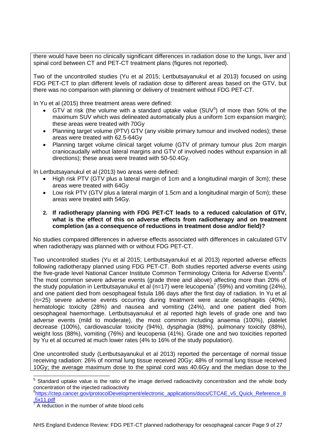there would have been no clinically significant differences in radiation dose to the lungs, liver and spinal cord between CT and PET-CT treatment plans (figures not reported).

Two of the uncontrolled studies (Yu et al 2015; Lertbutsayanukul et al 2013) focused on using FDG PET-CT to plan different levels of radiation dose to different areas based on the GTV, but there was no comparison with planning or delivery of treatment without FDG PET-CT.

In Yu et al (2015) three treatment areas were defined:

- GTV at risk (the volume with a standard uptake value  $(SUV<sup>5</sup>)$  of more than 50% of the maximum SUV which was delineated automatically plus a uniform 1cm expansion margin); these areas were treated with 70Gy
- Planning target volume (PTV) GTV (any visible primary tumour and involved nodes); these areas were treated with 62.5-64Gy
- Planning target volume clinical target volume (GTV of primary tumour plus 2cm margin craniocaudally without lateral margins and GTV of involved nodes without expansion in all directions); these areas were treated with 50-50.4Gy.

In Lertbutsayanukul et al (2013) two areas were defined:

- High risk PTV (GTV plus a lateral margin of 1cm and a longitudinal margin of 3cm); these areas were treated with 64Gy
- Low risk PTV (GTV plus a lateral margin of 1.5cm and a longitudinal margin of 5cm); these areas were treated with 54Gy.
- **2. If radiotherapy planning with FDG PET-CT leads to a reduced calculation of GTV, what is the effect of this on adverse effects from radiotherapy and on treatment completion (as a consequence of reductions in treatment dose and/or field)?**

No studies compared differences in adverse effects associated with differences in calculated GTV when radiotherapy was planned with or without FDG PET-CT.

Two uncontrolled studies (Yu et al 2015; Lertbutsayanukul et al 2013) reported adverse effects following radiotherapy planned using FDG PET-CT. Both studies reported adverse events using the five-grade level National Cancer Institute Common Terminology Criteria for Adverse Events<sup>6</sup>. The most common severe adverse events (grade three and above) affecting more than 20% of the study population in Lertbutsayanukul et al (n=17) were leucopenia<sup>7</sup> (59%) and vomiting (24%), and one patient died from oesophageal fistula 186 days after the first day of radiation. In Yu et al (n=25) severe adverse events occurring during treatment were acute oesophagitis (40%), hematologic toxicity (28%) and nausea and vomiting (24%), and one patient died from oesophageal haemorrhage. Lertbutsayanukul et al reported high levels of grade one and two adverse events (mild to moderate), the most common including anaemia (100%), platelet decrease (100%), cardiovascular toxicity (94%), dysphagia (88%), pulmonary toxicity (88%), weight loss (88%), vomiting (76%) and leucopenia (41%). Grade one and two toxicities reported by Yu et al occurred at much lower rates (4% to 16% of the study population).

One uncontrolled study (Lertbutsayanukul et al 2013) reported the percentage of normal tissue receiving radiation: 26% of normal lung tissue received 20Gy; 48% of normal lung tissue received 10Gy; the average maximum dose to the spinal cord was 40.6Gy and the median dose to the

**ENVILLEM**<br><sup>5</sup> Standard uptake value is the ratio of the image derived radioactivity concentration and the whole body concentration of the injected radioactivity

<sup>&</sup>lt;sup>6</sup>[https://ctep.cancer.gov/protocolDevelopment/electronic\\_applications/docs/CTCAE\\_v5\\_Quick\\_Reference\\_8](https://ctep.cancer.gov/protocolDevelopment/electronic_applications/docs/CTCAE_v5_Quick_Reference_8.5x11.pdf) [.5x11.pdf](https://ctep.cancer.gov/protocolDevelopment/electronic_applications/docs/CTCAE_v5_Quick_Reference_8.5x11.pdf)

<sup>7</sup> A reduction in the number of white blood cells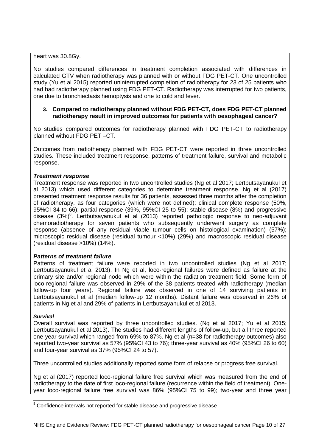heart was 30.8Gy.

No studies compared differences in treatment completion associated with differences in calculated GTV when radiotherapy was planned with or without FDG PET-CT. One uncontrolled study (Yu et al 2015) reported uninterrupted completion of radiotherapy for 23 of 25 patients who had had radiotherapy planned using FDG PET-CT. Radiotherapy was interrupted for two patients, one due to bronchiectasis hemoptysis and one to cold and fever.

#### **3. Compared to radiotherapy planned without FDG PET-CT, does FDG PET-CT planned radiotherapy result in improved outcomes for patients with oesophageal cancer?**

No studies compared outcomes for radiotherapy planned with FDG PET-CT to radiotherapy planned without FDG PET –CT.

Outcomes from radiotherapy planned with FDG PET-CT were reported in three uncontrolled studies. These included treatment response, patterns of treatment failure, survival and metabolic response.

#### *Treatment response*

Treatment response was reported in two uncontrolled studies (Ng et al 2017; Lertbutsayanukul et al 2013) which used different categories to determine treatment response. Ng et al (2017) presented treatment response results for 36 patients, assessed three months after the completion of radiotherapy, as four categories (which were not defined): clinical complete response (50%, 95%CI 34 to 66); partial response (39%, 95%CI 25 to 55); stable disease (8%) and progressive disease  $(3\%)^8$ . Lertbutsayanukul et al  $(2013)$  reported pathologic response to neo-adjuvant chemoradiotherapy for seven patients who subsequently underwent surgery as complete response (absence of any residual viable tumour cells on histological examination) (57%); microscopic residual disease (residual tumour <10%) (29%) and macroscopic residual disease (residual disease >10%) (14%).

#### *Patterns of treatment failure*

Patterns of treatment failure were reported in two uncontrolled studies (Ng et al 2017; Lertbutsayanukul et al 2013). In Ng et al, loco-regional failures were defined as failure at the primary site and/or regional node which were within the radiation treatment field. Some form of loco-regional failure was observed in 29% of the 38 patients treated with radiotherapy (median follow-up four years). Regional failure was observed in one of 14 surviving patients in Lertbutsayanukul et al (median follow-up 12 months). Distant failure was observed in 26% of patients in Ng et al and 29% of patients in Lertbutsayanukul et al 2013.

#### *Survival*

Overall survival was reported by three uncontrolled studies. (Ng et al 2017; Yu et al 2015; Lertbutsayanukul et al 2013). The studies had different lengths of follow-up, but all three reported one-year survival which ranged from 69% to 87%. Ng et al (n=38 for radiotherapy outcomes) also reported two-year survival as 57% (95%CI 43 to 76); three-year survival as 40% (95%CI 26 to 60) and four-year survival as 37% (95%CI 24 to 57).

Three uncontrolled studies additionally reported some form of relapse or progress free survival.

Ng et al (2017) reported loco-regional failure free survival which was measured from the end of radiotherapy to the date of first loco-regional failure (recurrence within the field of treatment). Oneyear loco-regional failure free survival was 86% (95%CI 75 to 99); two-year and three year

<sup>-</sup> $8$  Confidence intervals not reported for stable disease and progressive disease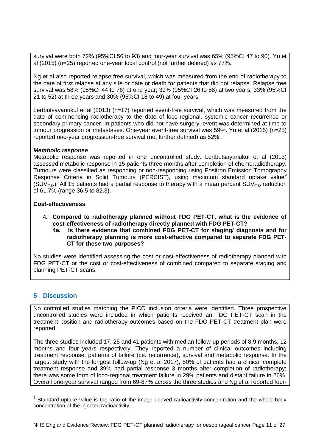survival were both 72% (95%CI 56 to 93) and four-year survival was 65% (95%CI 47 to 90). Yu et al (2015) (n=25) reported one-year local control (not further defined) as 77%.

Ng et al also reported relapse free survival, which was measured from the end of radiotherapy to the date of first relapse at any site or date or death for patients that did not relapse. Relapse free survival was 58% (95%CI 44 to 76) at one year; 39% (95%CI 26 to 58) at two years; 33% (95%CI 21 to 52) at three years and 30% (95%CI 18 to 49) at four years.

Lertbutsayanukul et al (2013) (n=17) reported event-free survival, which was measured from the date of commencing radiotherapy to the date of loco-regional, systemic cancer recurrence or secondary primary cancer. In patients who did not have surgery, event was determined at time to tumour progression or metastases. One-year event-free survival was 59%. Yu et al (2015) (n=25) reported one-year progression-free survival (not further defined) as 52%.

#### *Metabolic response*

Metabolic response was reported in one uncontrolled study. Lertbutsayanukul et al (2013) assessed metabolic response in 15 patients three months after completion of chemoradiotherapy. Tumours were classified as responding or non-responding using Positron Emission Tomography Response Criteria in Solid Tumours (PERCIST), using maximum standard uptake value $^9$ (SUV<sub>max</sub>). All 15 patients had a partial response to therapy with a mean percent SUV<sub>max</sub> reduction of 61.7% (range 36.5 to 82.3).

#### **Cost-effectiveness**

- **4. Compared to radiotherapy planned without FDG PET-CT, what is the evidence of cost-effectiveness of radiotherapy directly planned with FDG PET-CT?**
	- **4a. Is there evidence that combined FDG PET-CT for staging/ diagnosis and for radiotherapy planning is more cost-effective compared to separate FDG PET-CT for these two purposes?**

No studies were identified assessing the cost or cost-effectiveness of radiotherapy planned with FDG PET-CT or the cost or cost-effectiveness of combined compared to separate staging and planning PET-CT scans.

## <span id="page-10-0"></span>**5 Discussion**

No controlled studies matching the PICO inclusion criteria were identified. Three prospective uncontrolled studies were included in which patients received an FDG PET-CT scan in the treatment position and radiotherapy outcomes based on the FDG PET-CT treatment plan were reported.

The three studies included 17, 25 and 41 patients with median follow-up periods of 8.9 months, 12 months and four years respectively. They reported a number of clinical outcomes including treatment response, patterns of failure (i.e. recurrence), survival and metabolic response. In the largest study with the longest follow-up (Ng et al 2017), 50% of patients had a clinical complete treatment response and 39% had partial response 3 months after completion of radiotherapy; there was some form of loco-regional treatment failure in 29% patients and distant failure in 26%. Overall one-year survival ranged from 69-87% across the three studies and Ng et al reported four-

 9 Standard uptake value is the ratio of the image derived radioactivity concentration and the whole body concentration of the injected radioactivity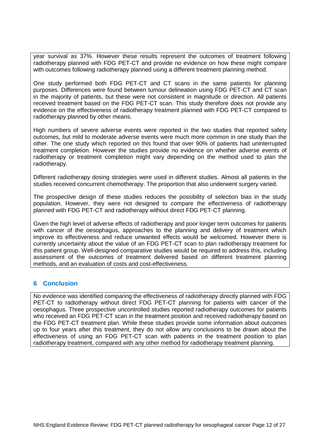year survival as 37%. However these results represent the outcomes of treatment following radiotherapy planned with FDG PET-CT and provide no evidence on how these might compare with outcomes following radiotherapy planned using a different treatment planning method.

One study performed both FDG PET-CT and CT scans in the same patients for planning purposes. Differences were found between tumour delineation using FDG PET-CT and CT scan in the majority of patients, but these were not consistent in magnitude or direction. All patients received treatment based on the FDG PET-CT scan. This study therefore does not provide any evidence on the effectiveness of radiotherapy treatment planned with FDG PET-CT compared to radiotherapy planned by other means.

High numbers of severe adverse events were reported in the two studies that reported safety outcomes, but mild to moderate adverse events were much more common in one study than the other. The one study which reported on this found that over 90% of patients had uninterrupted treatment completion. However the studies provide no evidence on whether adverse events of radiotherapy or treatment completion might vary depending on the method used to plan the radiotherapy.

Different radiotherapy dosing strategies were used in different studies. Almost all patients in the studies received concurrent chemotherapy. The proportion that also underwent surgery varied.

The prospective design of these studies reduces the possibility of selection bias in the study population. However, they were not designed to compare the effectiveness of radiotherapy planned with FDG PET-CT and radiotherapy without direct FDG PET-CT planning.

Given the high level of adverse effects of radiotherapy and poor longer term outcomes for patients with cancer of the oesophagus, approaches to the planning and delivery of treatment which improve its effectiveness and reduce unwanted effects would be welcomed. However there is currently uncertainty about the value of an FDG PET-CT scan to plan radiotherapy treatment for this patient group. Well-designed comparative studies would be required to address this, including assessment of the outcomes of treatment delivered based on different treatment planning methods, and an evaluation of costs and cost-effectiveness.

## <span id="page-11-0"></span>**6 Conclusion**

No evidence was identified comparing the effectiveness of radiotherapy directly planned with FDG PET-CT to radiotherapy without direct FDG PET-CT planning for patients with cancer of the oesophagus. Three prospective uncontrolled studies reported radiotherapy outcomes for patients who received an FDG PET-CT scan in the treatment position and received radiotherapy based on the FDG PET-CT treatment plan. While these studies provide some information about outcomes up to four years after this treatment, they do not allow any conclusions to be drawn about the effectiveness of using an FDG PET-CT scan with patients in the treatment position to plan radiotherapy treatment, compared with any other method for radiotherapy treatment planning.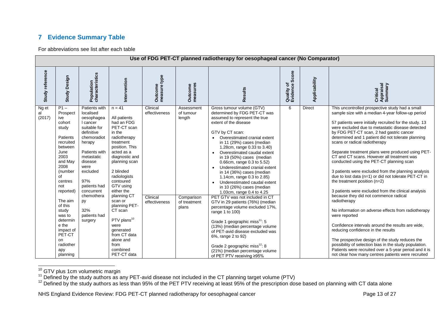# **7 Evidence Summary Table**

For abbreviations see list after each table

|                       | Use of FDG PET-CT planned radiotherapy for oesophageal cancer (No Comparator)                                                                                                                                                                                                                  |                                                                                                                                                                                                                                                                      |                                                                                                                                                                                                                                                                                                                                                                                                            |                                                        |                                                                          |                                                                                                                                                                                                                                                                                                                                                                                                                                                                                                                                                                                                                                                                                                                                                                                                                                                                                                                                 |                                   |               |                                                                                                                                                                                                                                                                                                                                                                                                                                                                                                                                                                                                                                                                                                                                                                                                                                                                                                                                                                                                                                                                                                                                                                       |  |  |
|-----------------------|------------------------------------------------------------------------------------------------------------------------------------------------------------------------------------------------------------------------------------------------------------------------------------------------|----------------------------------------------------------------------------------------------------------------------------------------------------------------------------------------------------------------------------------------------------------------------|------------------------------------------------------------------------------------------------------------------------------------------------------------------------------------------------------------------------------------------------------------------------------------------------------------------------------------------------------------------------------------------------------------|--------------------------------------------------------|--------------------------------------------------------------------------|---------------------------------------------------------------------------------------------------------------------------------------------------------------------------------------------------------------------------------------------------------------------------------------------------------------------------------------------------------------------------------------------------------------------------------------------------------------------------------------------------------------------------------------------------------------------------------------------------------------------------------------------------------------------------------------------------------------------------------------------------------------------------------------------------------------------------------------------------------------------------------------------------------------------------------|-----------------------------------|---------------|-----------------------------------------------------------------------------------------------------------------------------------------------------------------------------------------------------------------------------------------------------------------------------------------------------------------------------------------------------------------------------------------------------------------------------------------------------------------------------------------------------------------------------------------------------------------------------------------------------------------------------------------------------------------------------------------------------------------------------------------------------------------------------------------------------------------------------------------------------------------------------------------------------------------------------------------------------------------------------------------------------------------------------------------------------------------------------------------------------------------------------------------------------------------------|--|--|
| Study reference       | <b>Study Design</b>                                                                                                                                                                                                                                                                            | characteristics<br>Population                                                                                                                                                                                                                                        | Intervention                                                                                                                                                                                                                                                                                                                                                                                               | measure type<br>Outcome                                | measures<br><b>Outcome</b>                                               | Results                                                                                                                                                                                                                                                                                                                                                                                                                                                                                                                                                                                                                                                                                                                                                                                                                                                                                                                         | Score<br>Quality of<br>Evidence 3 | Applicability | Critical<br>Appraisal<br>Summary                                                                                                                                                                                                                                                                                                                                                                                                                                                                                                                                                                                                                                                                                                                                                                                                                                                                                                                                                                                                                                                                                                                                      |  |  |
| Ng et<br>al<br>(2017) | $P1 -$<br>Prospect<br>ive<br>cohort<br>study<br>Patients<br>recruited<br>between<br>June<br>2003<br>and Mav<br>2008<br>(number<br>of<br>centres<br>not<br>reported)<br>The aim<br>of this<br>study<br>was to<br>determin<br>e the<br>impact of<br>PET-CT<br>on<br>radiother<br>apy<br>planning | Patients with<br>localised<br>oesophagea<br>I cancer<br>suitable for<br>definitive<br>chemoradiot<br>herapy<br>Patients with<br>metastatic<br>disease<br>were<br>excluded<br>97%<br>patients had<br>concurrent<br>chemothera<br>py<br>32%<br>patients had<br>surgery | $n = 41$<br>All patients<br>had an FDG<br>PET-CT scan<br>in the<br>radiotherapy<br>treatment<br>position. This<br>acted as a<br>diagnostic and<br>planning scan<br>2 blinded<br>radiologists<br>contoured<br>GTV using<br>either the<br>planning CT<br>scan or<br>planning PET-<br>CT scan<br>PTV plans <sup>10</sup><br>were<br>generated<br>from CT data<br>alone and<br>from<br>combined<br>PET-CT data | Clinical<br>effectiveness<br>Clinical<br>effectiveness | Assessment<br>of tumour<br>length<br>Comparison<br>of treatment<br>plans | Gross tumour volume (GTV)<br>determined by FDG PET-CT was<br>assumed to represent the true<br>extent of the disease<br>GTV by CT scan:<br>Overestimated cranial extent<br>in 11 (29%) cases (median<br>1.28cm, range 0.33 to 3.40)<br>Overestimated caudal extent<br>$\bullet$<br>in 19 (50%) cases (median<br>0.66cm, range 0.3 to 5.52)<br>Underestimated cranial extent<br>$\bullet$<br>in 14 (36%) cases (median<br>1.14cm, range 0.3 to 2.85)<br>Underestimated caudal extent<br>in 10 (26%) cases (median<br>1.03cm, range 0.4 to 4.25<br>PET GTV was not included in CT<br>GTV in 29 patients (76%) (median<br>percentage volume excluded 17%,<br>range 1 to 100)<br>Grade 1 geographic miss <sup>11</sup> : 5<br>(13%) (median percentage volume<br>of PET-avid disease excluded was<br>6%, range 2 to 92)<br>Grade 2 geographic miss <sup>12</sup> : 8<br>(21%) (median percentage volume<br>of PET PTV receiving ≥95% | 6                                 | <b>Direct</b> | This uncontrolled prospective study had a small<br>sample size with a median 4-year follow-up period<br>57 patients were initially recruited for the study. 13<br>were excluded due to metastatic disease detected<br>by FDG PET-CT scan, 2 had gastric cancer<br>determined and 1 patient did not tolerate planning<br>scans or radical radiotherapy<br>Separate treatment plans were produced using PET-<br>CT and CT scans. However all treatment was<br>conducted using the PET-CT planning scan<br>3 patients were excluded from the planning analysis<br>due to lost data (n=1) or did not tolerate PET-CT in<br>the treatment position $(n=2)$<br>3 patients were excluded from the clinical analysis<br>because they did not commence radical<br>radiotherapy<br>No information on adverse effects from radiotherapy<br>were reported<br>Confidence intervals around the results are wide,<br>reducing confidence in the results<br>The prospective design of the study reduces the<br>possibility of selection bias in the study population.<br>Patients were recruited over a 5-year period and it is<br>not clear how many centres patients were recruited |  |  |

<span id="page-12-0"></span> $\overline{\phantom{a}}$ <sup>10</sup> GTV plus 1cm volumetric margin

 $12$  Defined by the study authors as less than 95% of the PET PTV receiving at least 95% of the prescription dose based on planning with CT data alone

NHS England Evidence Review: FDG PET-CT planned radiotherapy for oesophageal cancer Page 13 of 27

 $11$  Defined by the study authors as any PET-avid disease not included in the CT planning target volume (PTV)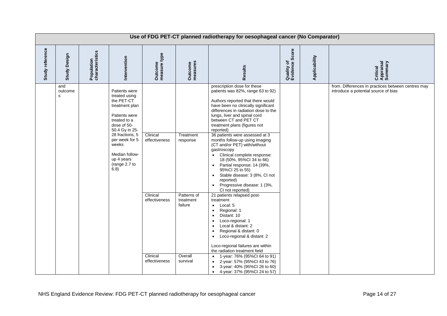|                 |                               |                               |                                                                                                                                                                                                                                         | Use of FDG PET-CT planned radiotherapy for oesophageal cancer (No Comparator)       |                                                                                     |                                                                                                                                                                                                                                                                                                                                                                                                                                                                                                                                                                                                                                                                                                                                                                                                                                                                                                                                                                                                                                                                                                                                                                                                                           |                              |               |                                                                                            |
|-----------------|-------------------------------|-------------------------------|-----------------------------------------------------------------------------------------------------------------------------------------------------------------------------------------------------------------------------------------|-------------------------------------------------------------------------------------|-------------------------------------------------------------------------------------|---------------------------------------------------------------------------------------------------------------------------------------------------------------------------------------------------------------------------------------------------------------------------------------------------------------------------------------------------------------------------------------------------------------------------------------------------------------------------------------------------------------------------------------------------------------------------------------------------------------------------------------------------------------------------------------------------------------------------------------------------------------------------------------------------------------------------------------------------------------------------------------------------------------------------------------------------------------------------------------------------------------------------------------------------------------------------------------------------------------------------------------------------------------------------------------------------------------------------|------------------------------|---------------|--------------------------------------------------------------------------------------------|
| Study reference | Design<br>Study I             | Population<br>characteristics | Intervention                                                                                                                                                                                                                            | Outcome<br>measure type                                                             | Outcome<br>measures                                                                 | Results                                                                                                                                                                                                                                                                                                                                                                                                                                                                                                                                                                                                                                                                                                                                                                                                                                                                                                                                                                                                                                                                                                                                                                                                                   | Quality of<br>Evidence Score | Applicability | Critical<br>Appraisal<br>Summary                                                           |
|                 | and<br>outcome<br>$\mathbf s$ |                               | Patients were<br>treated using<br>the PET-CT<br>treatment plan<br>Patients were<br>treated to a<br>dose of 50-<br>50.4 Gy in 25-<br>28 fractions, 5<br>per week for 5<br>weeks<br>Median follow-<br>up 4 years<br>(range 2.7 to<br>6.8) | Clinical<br>effectiveness<br>Clinical<br>effectiveness<br>Clinical<br>effectiveness | Treatment<br>response<br>Patterns of<br>treatment<br>failure<br>Overall<br>survival | prescription dose for these<br>patients was 82%, range 63 to 92)<br>Authors reported that there would<br>have been no clinically significant<br>differences in radiation dose to the<br>lungs, liver and spinal cord<br>between CT and PET CT<br>treatment plans (figures not<br>reported)<br>36 patients were assessed at 3<br>months follow-up using imaging<br>(CT and/or PET) with/without<br>gastroscopy<br>Clinical complete response:<br>$\bullet$<br>18 (50%, 95%Cl 34 to 66)<br>Partial response: 14 (39%,<br>$\bullet$<br>95%Cl 25 to 55)<br>Stable disease: 3 (8%, CI not<br>$\bullet$<br>reported)<br>Progressive disease: 1 (3%,<br>$\bullet$<br>CI not reported)<br>21 patients relapsed post-<br>treatment<br>Local: 5<br>$\bullet$<br>Regional: 1<br>$\bullet$<br>Distant: 10<br>$\bullet$<br>Loco-regional: 1<br>$\bullet$<br>Local & distant: 2<br>$\bullet$<br>Regional & distant: 0<br>$\bullet$<br>Loco-regional & distant: 2<br>$\bullet$<br>Loco-regional failures are within<br>the radiation treatment field<br>1-year: 76% (95%Cl 64 to 91)<br>$\bullet$<br>2-year: 57% (95%Cl 43 to 76)<br>$\bullet$<br>3-year: 40% (95%Cl 26 to 60)<br>$\bullet$<br>4-year: 37% (95%Cl 24 to 57)<br>$\bullet$ |                              |               | from. Differences in practices between centres may<br>introduce a potential source of bias |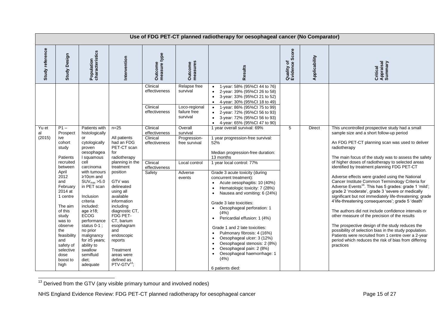|                       | Use of FDG PET-CT planned radiotherapy for oesophageal cancer (No Comparator)                                                                                                                                          |                                                                                                                                                                                                                                                                                                               |                                                                                                                                                                                                                                                                                |                                                        |                                                                       |                                                                                                                                                                                                                                                                                                                                                                                                                                                                                                                                                                                              |                              |               |                                                                                                                                                                                                                                                                                                                                                                                                                                                                                                                                                                                                                                                                                                                                                                                                  |  |  |
|-----------------------|------------------------------------------------------------------------------------------------------------------------------------------------------------------------------------------------------------------------|---------------------------------------------------------------------------------------------------------------------------------------------------------------------------------------------------------------------------------------------------------------------------------------------------------------|--------------------------------------------------------------------------------------------------------------------------------------------------------------------------------------------------------------------------------------------------------------------------------|--------------------------------------------------------|-----------------------------------------------------------------------|----------------------------------------------------------------------------------------------------------------------------------------------------------------------------------------------------------------------------------------------------------------------------------------------------------------------------------------------------------------------------------------------------------------------------------------------------------------------------------------------------------------------------------------------------------------------------------------------|------------------------------|---------------|--------------------------------------------------------------------------------------------------------------------------------------------------------------------------------------------------------------------------------------------------------------------------------------------------------------------------------------------------------------------------------------------------------------------------------------------------------------------------------------------------------------------------------------------------------------------------------------------------------------------------------------------------------------------------------------------------------------------------------------------------------------------------------------------------|--|--|
| Study reference       | Design<br><b>Study</b>                                                                                                                                                                                                 | Population<br>characteristics                                                                                                                                                                                                                                                                                 | Intervention                                                                                                                                                                                                                                                                   | type<br>Outcome<br>measure t                           | Outcome<br>measures                                                   | Results                                                                                                                                                                                                                                                                                                                                                                                                                                                                                                                                                                                      | Quality of<br>Evidence Score | Applicability | Critical<br>Appraisal<br>Summary                                                                                                                                                                                                                                                                                                                                                                                                                                                                                                                                                                                                                                                                                                                                                                 |  |  |
|                       |                                                                                                                                                                                                                        |                                                                                                                                                                                                                                                                                                               |                                                                                                                                                                                                                                                                                | Clinical<br>effectiveness<br>Clinical<br>effectiveness | Relapse free<br>survival<br>Loco-regional<br>failure free<br>survival | 1-year: 58% (95%Cl 44 to 76)<br>2-year: 39% (95%Cl 26 to 58)<br>3-year: 33% (95%Cl 21 to 52)<br>4-year: 30% (95%Cl 18 to 49)<br>1-year: 86% (95%Cl 75 to 99)<br>2-year: 72% (95%Cl 56 to 93)<br>3-year: 72% (95%Cl 56 to 93)<br>4-year: 65% (95%Cl 47 to 90)<br>$\bullet$                                                                                                                                                                                                                                                                                                                    |                              |               |                                                                                                                                                                                                                                                                                                                                                                                                                                                                                                                                                                                                                                                                                                                                                                                                  |  |  |
| Yu et<br>al<br>(2015) | $P1 -$<br>Prospect<br>ive<br>cohort<br>study<br>Patients                                                                                                                                                               | Patients with<br>histologically<br>or<br>cytologically<br>proven<br>oesophagea<br>I squamous                                                                                                                                                                                                                  | $n = 25$<br>All patients<br>had an FDG<br>PET-CT scan<br>for<br>radiotherapy                                                                                                                                                                                                   | Clinical<br>effectiveness<br>Clinical<br>effectiveness | Overall<br>survival<br>Progression-<br>free survival                  | 1 year overall survival: 69%<br>1 year progression-free survival:<br>52%<br>Median progression-free duration:<br>13 months                                                                                                                                                                                                                                                                                                                                                                                                                                                                   | 5                            | <b>Direct</b> | This uncontrolled prospective study had a small<br>sample size and a short follow-up period<br>An FDG PET-CT planning scan was used to deliver<br>radiotherapy<br>The main focus of the study was to assess the safety                                                                                                                                                                                                                                                                                                                                                                                                                                                                                                                                                                           |  |  |
|                       | recruited<br>between<br>April<br>2012<br>and<br>February<br>2014 at<br>1 centre<br>The aim<br>of this<br>study<br>was to<br>observe<br>the<br>feasibility<br>and<br>safety of<br>selective<br>dose<br>boost to<br>high | cell<br>carcinoma<br>with tumours<br>$\geq 10$ cm and<br>$SUV_{max}$ > 5.0<br>in PET scan<br>Inclusion<br>criteria<br>included:<br>age $\geq$ 18;<br><b>ECOG</b><br>performance<br>status $0-1$ ;<br>no prior<br>malignancy<br>for $\geq$ 5 years;<br>ability to<br>swallow<br>semifluid<br>diet:<br>adequate | planning in the<br>treatment<br>position<br>GTV was<br>delineated<br>using all<br>available<br>information<br>including<br>diagnostic CT,<br>FDG PET-<br>CT, barium<br>esophagram<br>and<br>endoscopic<br>reports<br>Treatment<br>areas were<br>defined as<br>$PTV-GTV^{13}$ ; | Clinical<br>effectiveness<br>Safety                    | Local control<br>Adverse<br>events                                    | 1 year local control: 77%<br>Grade 3 acute toxicity (during<br>concurrent treatment):<br>Acute oesophagitis: 10 (40%)<br>$\bullet$<br>Hematologic toxicity: 7 (28%)<br>Nausea and vomiting: 6 (24%)<br>$\bullet$<br>Grade 3 late toxicities:<br>Oesophageal perforation: 1<br>(4% )<br>Pericardial effusion: 1 (4%)<br>$\bullet$<br>Grade 1 and 2 late toxicities:<br>Pulmonary fibrosis: 4 (16%)<br>Oesophageal ulcer: 3 (12%)<br>$\bullet$<br>Oesophageal stenosis: 2 (8%)<br>$\bullet$<br>Oesophageal pain: 2 (8%)<br>Oesophageal haemorrhage: 1<br>$\bullet$<br>(4%)<br>6 patients died: |                              |               | of higher doses of radiotherapy to selected areas<br>identified by treatment planning FDG PET-CT<br>Adverse effects were graded using the National<br>Cancer Institute Common Terminology Criteria for<br>Adverse Events <sup>16</sup> . This has 5 grades: grade 1 'mild';<br>grade 2 'moderate', grade 3 'severe or medically<br>significant but not immediately life-threatening; grade<br>4'life-threatening consequences'; grade 5 'death'<br>The authors did not include confidence intervals or<br>other measure of the precision of the results<br>The prospective design of the study reduces the<br>possibility of selection bias in the study population.<br>Patients were recruited from 1 centre over a 2-year<br>period which reduces the risk of bias from differing<br>practices |  |  |

 $13$  Derived from the GTV (any visible primary tumour and involved nodes)

<span id="page-14-0"></span> $\overline{\phantom{a}}$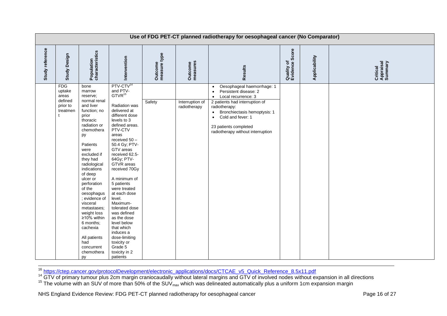|                 |                                                                  |                                                                                                                                                                                                                                                                                                                                                                                                                                          |                                                                                                                                                                                                                                                                                                                                                                                                                                                                                                                                     |                         |                                 | Use of FDG PET-CT planned radiotherapy for oesophageal cancer (No Comparator)                                                                                                                                                                                                                                     |                              |               |                                  |
|-----------------|------------------------------------------------------------------|------------------------------------------------------------------------------------------------------------------------------------------------------------------------------------------------------------------------------------------------------------------------------------------------------------------------------------------------------------------------------------------------------------------------------------------|-------------------------------------------------------------------------------------------------------------------------------------------------------------------------------------------------------------------------------------------------------------------------------------------------------------------------------------------------------------------------------------------------------------------------------------------------------------------------------------------------------------------------------------|-------------------------|---------------------------------|-------------------------------------------------------------------------------------------------------------------------------------------------------------------------------------------------------------------------------------------------------------------------------------------------------------------|------------------------------|---------------|----------------------------------|
| Study reference | <b>Study Design</b>                                              | Population<br>characteristics                                                                                                                                                                                                                                                                                                                                                                                                            | Intervention                                                                                                                                                                                                                                                                                                                                                                                                                                                                                                                        | Outcome<br>measure type | Outcome<br>measures             | Results                                                                                                                                                                                                                                                                                                           | Quality of<br>Evidence Score | Applicability | Critical<br>Appraisal<br>Summary |
|                 | <b>FDG</b><br>uptake<br>areas<br>defined<br>prior to<br>treatmen | bone<br>marrow<br>reserve:<br>normal renal<br>and liver<br>function; no<br>prior<br>thoracic<br>radiation or<br>chemothera<br>py<br>Patients<br>were<br>excluded if<br>they had<br>radiological<br>indications<br>of deep<br>ulcer or<br>perforation<br>of the<br>oesophagus<br>; evidence of<br>visceral<br>metastases;<br>weight loss<br>≥10% within<br>6 months;<br>cachexia<br>All patients<br>had<br>concurrent<br>chemothera<br>py | PTV-CTV <sup>14</sup><br>and PTV-<br>GTVR <sup>15</sup><br>Radiation was<br>delivered at<br>different dose<br>levels to 3<br>defined areas.<br>PTV-CTV<br>areas<br>received 50 -<br>50.4 Gy; PTV-<br>GTV areas<br>received 62.5-<br>64Gy; PTV-<br>GTVR areas<br>received 70Gy<br>A minimum of<br>5 patients<br>were treated<br>at each dose<br>level.<br>Maximum-<br>tolerated dose<br>was defined<br>as the dose<br>level below<br>that which<br>induces a<br>dose-limiting<br>toxicity or<br>Grade 5<br>toxicity in 2<br>patients | Safety                  | Interruption of<br>radiotherapy | Oesophageal haemorrhage: 1<br>$\bullet$<br>Persistent disease: 2<br>$\bullet$<br>Local recurrence: 3<br>$\bullet$<br>2 patients had interruption of<br>radiotherapy:<br>Bronchiectasis hemoptysis: 1<br>$\bullet$<br>Cold and fever: 1<br>$\bullet$<br>23 patients completed<br>radiotherapy without interruption |                              |               |                                  |

<sup>16</sup> [https://ctep.cancer.gov/protocolDevelopment/electronic\\_applications/docs/CTCAE\\_v5\\_Quick\\_Reference\\_8.5x11.pdf](https://ctep.cancer.gov/protocolDevelopment/electronic_applications/docs/CTCAE_v5_Quick_Reference_8.5x11.pdf)

<sup>14</sup> GTV of primary tumour plus 2cm margin craniocaudally without lateral margins and GTV of involved nodes without expansion in all directions

 $15$  The volume with an SUV of more than 50% of the SUV $_{max}$  which was delineated automatically plus a uniform 1cm expansion margin

 $\overline{\phantom{a}}$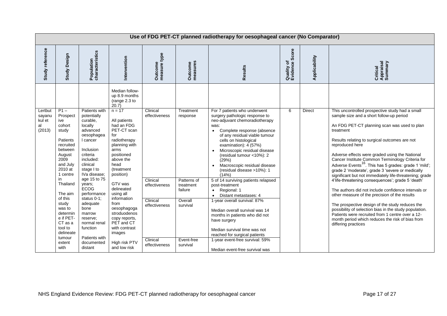|                                             | Use of FDG PET-CT planned radiotherapy for oesophageal cancer (No Comparator)                                                                                                                                                               |                                                                                                                                                                                                                                                                                                               |                                                                                                                                                                                                                                                                                                                                                             |                                                                                     |                                                                                     |                                                                                                                                                                                                                                                                                                                                                                                                                                                                                                                                                                                                                                     |                              |               |                                                                                                                                                                                                                                                                                                                                                                                                                                                                                                                                                                                                                                                                                                                                                                                                                                                                                                                                 |  |
|---------------------------------------------|---------------------------------------------------------------------------------------------------------------------------------------------------------------------------------------------------------------------------------------------|---------------------------------------------------------------------------------------------------------------------------------------------------------------------------------------------------------------------------------------------------------------------------------------------------------------|-------------------------------------------------------------------------------------------------------------------------------------------------------------------------------------------------------------------------------------------------------------------------------------------------------------------------------------------------------------|-------------------------------------------------------------------------------------|-------------------------------------------------------------------------------------|-------------------------------------------------------------------------------------------------------------------------------------------------------------------------------------------------------------------------------------------------------------------------------------------------------------------------------------------------------------------------------------------------------------------------------------------------------------------------------------------------------------------------------------------------------------------------------------------------------------------------------------|------------------------------|---------------|---------------------------------------------------------------------------------------------------------------------------------------------------------------------------------------------------------------------------------------------------------------------------------------------------------------------------------------------------------------------------------------------------------------------------------------------------------------------------------------------------------------------------------------------------------------------------------------------------------------------------------------------------------------------------------------------------------------------------------------------------------------------------------------------------------------------------------------------------------------------------------------------------------------------------------|--|
| Study reference                             | Design<br>Study                                                                                                                                                                                                                             | Population<br>characteristics                                                                                                                                                                                                                                                                                 | Intervention                                                                                                                                                                                                                                                                                                                                                | Outcome<br>measure type                                                             | Outcome<br>measures                                                                 | Results                                                                                                                                                                                                                                                                                                                                                                                                                                                                                                                                                                                                                             | Quality of<br>Evidence Score | Applicability | Critical<br>Appraisal<br>Summary                                                                                                                                                                                                                                                                                                                                                                                                                                                                                                                                                                                                                                                                                                                                                                                                                                                                                                |  |
| Lertbut<br>sayanu<br>kul et<br>al<br>(2013) | $P1 -$<br>Prospect<br>ive<br>cohort<br>study<br><b>Patients</b><br>recruited<br>between<br>August<br>2009<br>and July<br>2010 at<br>1 centre<br>in<br>Thailand<br>The aim<br>of this<br>study<br>was to<br>determin<br>e if PET-<br>CT as a | Patients with<br>potentially<br>curable,<br>locally<br>advanced<br>oesophagea<br>I cancer<br>Inclusion<br>criteria<br>included:<br>clinical<br>stage I to<br>IVa disease:<br>age 15 to 75<br>years;<br><b>ECOG</b><br>performance<br>status $0-1$ ;<br>adequate<br>bone<br>marrow<br>reserve;<br>normal renal | Median follow-<br>up 8.9 months<br>(range 2.3 to<br>20.7)<br>$n = 17$<br>All patients<br>had an FDG<br>PET-CT scan<br>for<br>radiotherapy<br>planning with<br>arms<br>positioned<br>above the<br>head<br>(treatment<br>position)<br>GTV was<br>delineated<br>using all<br>information<br>from<br>oesophagoga<br>stroduodenos<br>copy reports,<br>PET and CT | Clinical<br>effectiveness<br>Clinical<br>effectiveness<br>Clinical<br>effectiveness | Treatment<br>response<br>Patterns of<br>treatment<br>failure<br>Overall<br>survival | For 7 patients who underwent<br>surgery pathologic response to<br>neo-adjuvant chemoradiotherapy<br>was:<br>Complete response (absence<br>$\bullet$<br>of any residual viable tumour<br>cells on histological<br>examination): 4 (57%)<br>Microscopic residual disease<br>(residual tumour <10%): 2<br>(29%)<br>Macroscopic residual disease<br>(residual disease >10%): 1<br>(14% )<br>5 of 14 surviving patients relapsed<br>post-treatment<br>Regional: 1<br>$\bullet$<br>Distant metastases: 4<br>$\bullet$<br>1-year overall survival: 87%<br>Median overall survival was 14<br>months in patients who did not<br>have surgery | 6                            | <b>Direct</b> | This uncontrolled prospective study had a small<br>sample size and a short follow-up period<br>An FDG PET-CT planning scan was used to plan<br>treatment<br>Results relating to surgical outcomes are not<br>reproduced here<br>Adverse effects were graded using the National<br>Cancer Institute Common Terminology Criteria for<br>Adverse Events <sup>16</sup> . This has 5 grades: grade 1 'mild';<br>grade 2 'moderate', grade 3 'severe or medically<br>significant but not immediately life-threatening; grade<br>4'life-threatening consequences'; grade 5 'death'<br>The authors did not include confidence intervals or<br>other measure of the precision of the results<br>The prospective design of the study reduces the<br>possibility of selection bias in the study population.<br>Patients were recruited from 1 centre over a 12-<br>month period which reduces the risk of bias from<br>differing practices |  |
|                                             | tool to<br>delineate<br>tumour<br>extent<br>with                                                                                                                                                                                            | function<br>Patients with<br>documented<br>distant                                                                                                                                                                                                                                                            | with contrast<br>images<br>High risk PTV<br>and low risk                                                                                                                                                                                                                                                                                                    | Clinical<br>effectiveness                                                           | Event-free<br>survival                                                              | Median survival time was not<br>reached for surgical patients<br>1-year event-free survival: 59%<br>Median event-free survival was                                                                                                                                                                                                                                                                                                                                                                                                                                                                                                  |                              |               |                                                                                                                                                                                                                                                                                                                                                                                                                                                                                                                                                                                                                                                                                                                                                                                                                                                                                                                                 |  |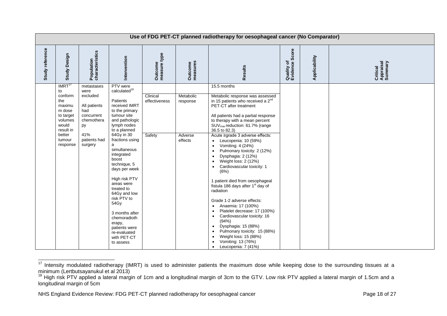|                 |                                                                                                                                              |                                                                                                                           |                                                                                                                                                                                                                                                                                                                                                                                                                                                       |                                     |                                             | Use of FDG PET-CT planned radiotherapy for oesophageal cancer (No Comparator)                                                                                                                                                                                                                                                                                                                                                                                                                                                                                                                                                                                                                                                                                                                                                                                                                                                                                                                    |                              |               |                                  |
|-----------------|----------------------------------------------------------------------------------------------------------------------------------------------|---------------------------------------------------------------------------------------------------------------------------|-------------------------------------------------------------------------------------------------------------------------------------------------------------------------------------------------------------------------------------------------------------------------------------------------------------------------------------------------------------------------------------------------------------------------------------------------------|-------------------------------------|---------------------------------------------|--------------------------------------------------------------------------------------------------------------------------------------------------------------------------------------------------------------------------------------------------------------------------------------------------------------------------------------------------------------------------------------------------------------------------------------------------------------------------------------------------------------------------------------------------------------------------------------------------------------------------------------------------------------------------------------------------------------------------------------------------------------------------------------------------------------------------------------------------------------------------------------------------------------------------------------------------------------------------------------------------|------------------------------|---------------|----------------------------------|
| Study reference | Study Design                                                                                                                                 | Population<br>characteristics                                                                                             | Intervention                                                                                                                                                                                                                                                                                                                                                                                                                                          | Outcome<br>measure type             | Outcome<br>measures                         | Results                                                                                                                                                                                                                                                                                                                                                                                                                                                                                                                                                                                                                                                                                                                                                                                                                                                                                                                                                                                          | Quality of<br>Evidence Score | Applicability | Critical<br>Appraisal<br>Summary |
|                 | IMRT <sup>17</sup><br>to<br>conform<br>the<br>maximu<br>m dose<br>to target<br>volumes<br>would<br>result in<br>better<br>tumour<br>response | metastases<br>were<br>excluded<br>All patients<br>had<br>concurrent<br>chemothera<br>py<br>41%<br>patients had<br>surgery | PTV were<br>calculated $18$<br>Patients<br>received IMRT<br>to the primary<br>tumour site<br>and pathologic<br>lymph nodes<br>to a planned<br>64Gy in 30<br>fractions using<br>a<br>simultaneous<br>integrated<br>boost<br>technique, 5<br>days per week<br>High risk PTV<br>areas were<br>treated to<br>64Gy and low<br>risk PTV to<br>54Gy<br>3 months after<br>chemoradioth<br>erapy,<br>patients were<br>re-evaluated<br>with PET-CT<br>to assess | Clinical<br>effectiveness<br>Safety | Metabolic<br>response<br>Adverse<br>effects | 15.5 months<br>Metabolic response was assessed<br>in 15 patients who received a $2nd$<br>PET-CT after treatment<br>All patients had a partial response<br>to therapy with a mean percent<br>$SUVmax$ reduction: 61.7% (range<br>36.5 to 82.3)<br>Acute ≥grade 3 adverse effects:<br>Leucopenia: 10 (59%)<br>$\bullet$<br>Vomiting: 4 (24%)<br>$\bullet$<br>Pulmonary toxicity: 2 (12%)<br>$\bullet$<br>Dysphagia: 2 (12%)<br>$\bullet$<br>Weight loss: 2 (12%)<br>$\bullet$<br>Cardiovascular toxicity: 1<br>$\bullet$<br>(6%)<br>1 patient died from oesophageal<br>fistula 186 days after 1 <sup>st</sup> day of<br>radiation<br>Grade 1-2 adverse effects:<br>Anaemia: 17 (100%)<br>$\bullet$<br>Platelet decrease: 17 (100%)<br>$\bullet$<br>Cardiovascular toxicity: 16<br>$\bullet$<br>(94%)<br>Dysphagia: 15 (88%)<br>$\bullet$<br>Pulmonary toxicity: 15 (88%)<br>$\bullet$<br>Weight loss: 15 (88%)<br>$\bullet$<br>Vomiting: 13 (76%)<br>$\bullet$<br>Leucopenia: 7 (41%)<br>$\bullet$ |                              |               |                                  |

 $\overline{\phantom{a}}$ <sup>17</sup> Intensity modulated radiotherapy (IMRT) is used to administer patients the maximum dose while keeping dose to the surrounding tissues at a minimum (Lertbutsayanukul et al 2013)

<sup>&</sup>lt;sup>18</sup> High risk PTV applied a lateral margin of 1cm and a longitudinal margin of 3cm to the GTV. Low risk PTV applied a lateral margin of 1.5cm and a longitudinal margin of 5cm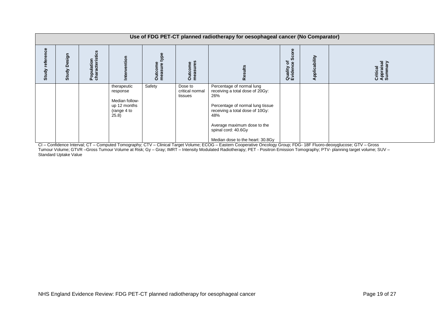|                           | Use of FDG PET-CT planned radiotherapy for oesophageal cancer (No Comparator) |                                             |                                                                                    |                           |                                       |                                                                                                                                                                                                                                             |                                        |               |                                  |  |  |  |
|---------------------------|-------------------------------------------------------------------------------|---------------------------------------------|------------------------------------------------------------------------------------|---------------------------|---------------------------------------|---------------------------------------------------------------------------------------------------------------------------------------------------------------------------------------------------------------------------------------------|----------------------------------------|---------------|----------------------------------|--|--|--|
| ၛ<br>កា<br>refei<br>Study | Design<br>Study                                                               | ristics<br><b>Population</b><br>characteris | ntion                                                                              | pek<br>Outcome<br>measure | measures<br><b>Outcome</b>            | $\alpha$                                                                                                                                                                                                                                    | Ŏ,<br>۴ō<br>ပ္ပိ<br>Quality<br>Evideno | Applicability | Critical<br>Appraisal<br>Summary |  |  |  |
|                           |                                                                               |                                             | therapeutic<br>response<br>Median follow-<br>up 12 months<br>(range 4 to<br>(25.8) | Safety                    | Dose to<br>critical normal<br>tissues | Percentage of normal lung<br>receiving a total dose of 20Gy:<br>26%<br>Percentage of normal lung tissue<br>receiving a total dose of 10Gy:<br>48%<br>Average maximum dose to the<br>spinal cord: 40.6Gy<br>Median dose to the heart: 30.8Gy |                                        |               |                                  |  |  |  |

CI – Confidence Interval; CT – Computed Tomography; CTV – Clinical Target Volume; ECOG – Eastern Cooperative Oncology Group; FDG- 18F Fluoro-deoxyglucose; GTV – Gross Tumour Volume; GTVR –Gross Tumour Volume at Risk; Gy – Gray; IMRT – Intensity Modulated Radiotherapy; PET - Positron Emission Tomography; PTV- planning target volume; SUV – Standard Uptake Value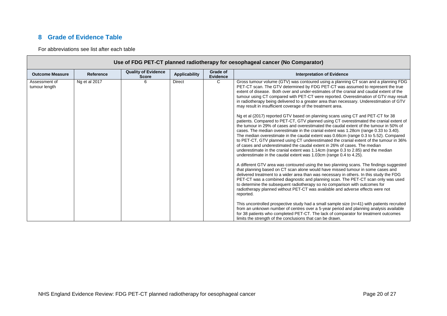## **8 Grade of Evidence Table**

For abbreviations see list after each table

<span id="page-19-0"></span>

|                                |               |                                            |                      |                             | Use of FDG PET-CT planned radiotherapy for oesophageal cancer (No Comparator)                                                                                                                                                                                                                                                                                                                                                                                                                                                                                                                                                                                                                                                                                                           |
|--------------------------------|---------------|--------------------------------------------|----------------------|-----------------------------|-----------------------------------------------------------------------------------------------------------------------------------------------------------------------------------------------------------------------------------------------------------------------------------------------------------------------------------------------------------------------------------------------------------------------------------------------------------------------------------------------------------------------------------------------------------------------------------------------------------------------------------------------------------------------------------------------------------------------------------------------------------------------------------------|
| <b>Outcome Measure</b>         | Reference     | <b>Quality of Evidence</b><br><b>Score</b> | <b>Applicability</b> | Grade of<br><b>Evidence</b> | <b>Interpretation of Evidence</b>                                                                                                                                                                                                                                                                                                                                                                                                                                                                                                                                                                                                                                                                                                                                                       |
| Assessment of<br>tumour length | Ng et al 2017 | ี                                          | <b>Direct</b>        | C                           | Gross tumour volume (GTV) was contoured using a planning CT scan and a planning FDG<br>PET-CT scan. The GTV determined by FDG PET-CT was assumed to represent the true<br>extent of disease. Both over and under-estimates of the cranial and caudal extent of the<br>tumour using CT compared with PET-CT were reported. Overestimation of GTV may result<br>in radiotherapy being delivered to a greater area than necessary. Underestimation of GTV<br>may result in insufficient coverage of the treatment area.                                                                                                                                                                                                                                                                    |
|                                |               |                                            |                      |                             | Ng et al (2017) reported GTV based on planning scans using CT and PET-CT for 38<br>patients. Compared to PET-CT, GTV planned using CT overestimated the cranial extent of<br>the tumour in 29% of cases and overestimated the caudal extent of the tumour in 50% of<br>cases. The median overestimate in the cranial extent was 1.28cm (range 0.33 to 3.40).<br>The median overestimate in the caudal extent was 0.66cm (range 0.3 to 5.52). Compared<br>to PET-CT, GTV planned using CT underestimated the cranial extent of the tumour in 36%<br>of cases and underestimated the caudal extent in 26% of cases. The median<br>underestimate in the cranial extent was 1.14cm (range 0.3 to 2.85) and the median<br>underestimate in the caudal extent was 1.03cm (range 0.4 to 4.25). |
|                                |               |                                            |                      |                             | A different GTV area was contoured using the two planning scans. The findings suggested<br>that planning based on CT scan alone would have missed tumour in some cases and<br>delivered treatment to a wider area than was necessary in others. In this study the FDG<br>PET-CT was a combined diagnostic and planning scan. The PET-CT scan only was used<br>to determine the subsequent radiotherapy so no comparison with outcomes for<br>radiotherapy planned without PET-CT was available and adverse effects were not<br>reported.                                                                                                                                                                                                                                                |
|                                |               |                                            |                      |                             | This uncontrolled prospective study had a small sample size $(n=41)$ with patients recruited<br>from an unknown number of centres over a 5-year period and planning analysis available<br>for 38 patients who completed PET-CT. The lack of comparator for treatment outcomes<br>limits the strength of the conclusions that can be drawn.                                                                                                                                                                                                                                                                                                                                                                                                                                              |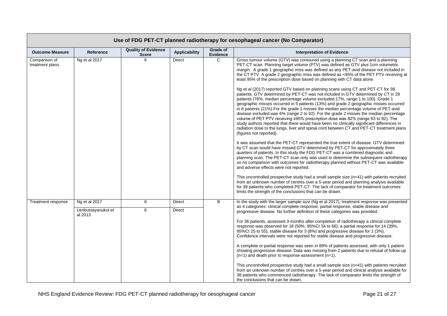|                                  | Use of FDG PET-CT planned radiotherapy for oesophageal cancer (No Comparator) |                                            |                      |                      |                                                                                                                                                                                                                                                                                                                                                                                                                                                                                                                                                                                                                                                                                                                                                                                                                                           |  |  |  |  |  |  |  |
|----------------------------------|-------------------------------------------------------------------------------|--------------------------------------------|----------------------|----------------------|-------------------------------------------------------------------------------------------------------------------------------------------------------------------------------------------------------------------------------------------------------------------------------------------------------------------------------------------------------------------------------------------------------------------------------------------------------------------------------------------------------------------------------------------------------------------------------------------------------------------------------------------------------------------------------------------------------------------------------------------------------------------------------------------------------------------------------------------|--|--|--|--|--|--|--|
| <b>Outcome Measure</b>           | Reference                                                                     | <b>Quality of Evidence</b><br><b>Score</b> | <b>Applicability</b> | Grade of<br>Evidence | <b>Interpretation of Evidence</b>                                                                                                                                                                                                                                                                                                                                                                                                                                                                                                                                                                                                                                                                                                                                                                                                         |  |  |  |  |  |  |  |
| Comparison of<br>treatment plans | Ng et al 2017                                                                 | 6                                          | <b>Direct</b>        | C                    | Gross tumour volume (GTV) was contoured using a planning CT scan and a planning<br>PET-CT scan. Planning target volume (PTV) was defined as GTV plus 1cm volumetric<br>margin. A grade 1 geographic miss was defined as any PET-avid disease not included in<br>the CT PTV. A grade 2 geographic miss was defined as <95% of the PET PTV receiving at<br>least 95% of the prescription dose based on planning with CT data alone.                                                                                                                                                                                                                                                                                                                                                                                                         |  |  |  |  |  |  |  |
|                                  |                                                                               |                                            |                      |                      | Ng et al (2017) reported GTV based on planning scans using CT and PET-CT for 38<br>patients. GTV determined by PET-CT was not included in GTV determined by CT in 29<br>patients (76%, median percentage volume excluded 17%, range 1 to 100). Grade 1<br>geographic misses occurred in 5 patients (13%) and grade 2 geographic misses occurred<br>in 8 patients (21%). For the grade 1 misses the median percentage volume of PET-avid<br>disease excluded was 6% (range 2 to 92). For the grade 2 misses the median percentage<br>volume of PET PTV receiving ≥95% prescription dose was 82% (range 63 to 92). The<br>study authors reported that there would have been no clinically significant differences in<br>radiation dose to the lungs, liver and spinal cord between CT and PET-CT treatment plans<br>(figures not reported). |  |  |  |  |  |  |  |
|                                  |                                                                               |                                            |                      |                      | It was assumed that the PET-CT represented the true extent of disease. GTV determined<br>by CT scan would have missed GTV determined by PET-CT for approximately three<br>quarters of patients. In this study the FDG PET-CT was a combined diagnostic and<br>planning scan. The PET-CT scan only was used to determine the subsequent radiotherapy<br>so no comparison with outcomes for radiotherapy planned without PET-CT was available<br>and adverse effects were not reported.                                                                                                                                                                                                                                                                                                                                                     |  |  |  |  |  |  |  |
|                                  |                                                                               |                                            |                      |                      | This uncontrolled prospective study had a small sample size (n=41) with patients recruited<br>from an unknown number of centres over a 5-year period and planning analysis available<br>for 38 patients who completed PET-CT. The lack of comparator for treatment outcomes<br>limits the strength of the conclusions that can be drawn.                                                                                                                                                                                                                                                                                                                                                                                                                                                                                                  |  |  |  |  |  |  |  |
| Treatment response               | Ng et al 2017                                                                 | 6                                          | Direct               | B                    | In the study with the larger sample size (Ng et al 2017), treatment response was presented                                                                                                                                                                                                                                                                                                                                                                                                                                                                                                                                                                                                                                                                                                                                                |  |  |  |  |  |  |  |
|                                  | Lertbutsayanukul et<br>al 2013                                                | 6                                          | <b>Direct</b>        |                      | as 4 categories: clinical complete response, partial response, stable disease and<br>progressive disease. No further definition of these categories was provided.                                                                                                                                                                                                                                                                                                                                                                                                                                                                                                                                                                                                                                                                         |  |  |  |  |  |  |  |
|                                  |                                                                               |                                            |                      |                      | For 36 patients, assessed 3-months after completion of radiotherapy a clinical complete<br>response was observed for 18 (50%, 95%Cl 34 to 66); a partial response for 14 (39%,<br>95%Cl 25 to 55); stable disease for 3 (8%) and progressive disease for 1 (3%).<br>Confidence intervals were not reported for stable disease and progressive disease.                                                                                                                                                                                                                                                                                                                                                                                                                                                                                    |  |  |  |  |  |  |  |
|                                  |                                                                               |                                            |                      |                      | A complete or partial response was seen in 89% of patients assessed, with only 1 patient<br>showing progressive disease. Data was missing from 2 patients due to refusal of follow-up<br>$(n=1)$ and death prior to response assessment $(n=1)$ .                                                                                                                                                                                                                                                                                                                                                                                                                                                                                                                                                                                         |  |  |  |  |  |  |  |
|                                  |                                                                               |                                            |                      |                      | This uncontrolled prospective study had a small sample size (n=41) with patients recruited<br>from an unknown number of centres over a 5-year period and clinical analysis available for<br>38 patients who commenced radiotherapy. The lack of comparator limits the strength of<br>the conclusions that can be drawn.                                                                                                                                                                                                                                                                                                                                                                                                                                                                                                                   |  |  |  |  |  |  |  |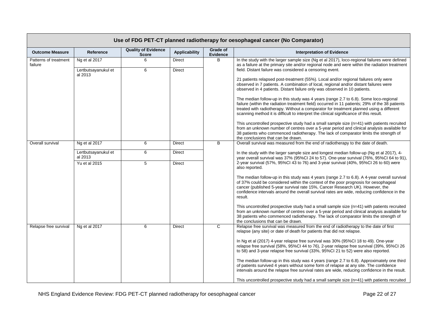|                                  | Use of FDG PET-CT planned radiotherapy for oesophageal cancer (No Comparator) |                                            |                      |                      |                                                                                                                                                                                                                                                                                                                                                                                |  |  |  |  |  |  |  |
|----------------------------------|-------------------------------------------------------------------------------|--------------------------------------------|----------------------|----------------------|--------------------------------------------------------------------------------------------------------------------------------------------------------------------------------------------------------------------------------------------------------------------------------------------------------------------------------------------------------------------------------|--|--|--|--|--|--|--|
| <b>Outcome Measure</b>           | <b>Reference</b>                                                              | <b>Quality of Evidence</b><br><b>Score</b> | <b>Applicability</b> | Grade of<br>Evidence | <b>Interpretation of Evidence</b>                                                                                                                                                                                                                                                                                                                                              |  |  |  |  |  |  |  |
| Patterns of treatment<br>failure | Ng et al 2017                                                                 | 6                                          | Direct               | B                    | In the study with the larger sample size (Ng et al 2017), loco-regional failures were defined<br>as a failure at the primary site and/or regional node and were within the radiation treatment                                                                                                                                                                                 |  |  |  |  |  |  |  |
|                                  | Lertbutsayanukul et<br>al 2013                                                | 6                                          | <b>Direct</b>        |                      | field. Distant failure was considered a censoring event.                                                                                                                                                                                                                                                                                                                       |  |  |  |  |  |  |  |
|                                  |                                                                               |                                            |                      |                      | 21 patients relapsed post-treatment (55%). Local and/or regional failures only were<br>observed in 7 patients. A combination of local, regional and/or distant failures were<br>observed in 4 patients. Distant failure only was observed in 10 patients.                                                                                                                      |  |  |  |  |  |  |  |
|                                  |                                                                               |                                            |                      |                      | The median follow-up in this study was 4 years (range 2.7 to 6.8). Some loco-regional<br>failure (within the radiation treatment field) occurred in 11 patients; 29% of the 38 patients<br>treated with radiotherapy. Without a comparator for treatment planned using a different<br>scanning method it is difficult to interpret the clinical significance of this result.   |  |  |  |  |  |  |  |
|                                  |                                                                               |                                            |                      |                      | This uncontrolled prospective study had a small sample size (n=41) with patients recruited<br>from an unknown number of centres over a 5-year period and clinical analysis available for<br>38 patients who commenced radiotherapy. The lack of comparator limits the strength of<br>the conclusions that can be drawn.                                                        |  |  |  |  |  |  |  |
| Overall survival                 | Ng et al 2017                                                                 | 6                                          | <b>Direct</b>        | B                    | Overall survival was measured from the end of radiotherapy to the date of death.                                                                                                                                                                                                                                                                                               |  |  |  |  |  |  |  |
|                                  | Lertbutsayanukul et<br>al 2013                                                | 6                                          | Direct               |                      | In the study with the larger sample size and longest median follow-up (Ng et al 2017), 4-<br>year overall survival was 37% (95%Cl 24 to 57). One-year survival (76%, 95%Cl 64 to 91),                                                                                                                                                                                          |  |  |  |  |  |  |  |
|                                  | Yu et al 2015                                                                 | 5                                          | Direct               |                      | 2-year survival (57%, 95%Cl 43 to 76) and 3-year survival (40%, 95%Cl 26 to 60) were<br>also reported.                                                                                                                                                                                                                                                                         |  |  |  |  |  |  |  |
|                                  |                                                                               |                                            |                      |                      | The median follow-up in this study was 4 years (range 2.7 to 6.8). A 4-year overall survival<br>of 37% could be considered within the context of the poor prognosis for oesophageal<br>cancer (published 5-year survival rate 15%, Cancer Research UK). However, the<br>confidence intervals around the overall survival rates are wide, reducing confidence in the<br>result. |  |  |  |  |  |  |  |
|                                  |                                                                               |                                            |                      |                      | This uncontrolled prospective study had a small sample size (n=41) with patients recruited<br>from an unknown number of centres over a 5-year period and clinical analysis available for<br>38 patients who commenced radiotherapy. The lack of comparator limits the strength of<br>the conclusions that can be drawn.                                                        |  |  |  |  |  |  |  |
| Relapse free survival            | Ng et al 2017                                                                 | 6                                          | Direct               | C                    | Relapse free survival was measured from the end of radiotherapy to the date of first<br>relapse (any site) or date of death for patients that did not relapse.                                                                                                                                                                                                                 |  |  |  |  |  |  |  |
|                                  |                                                                               |                                            |                      |                      | In Ng et al (2017) 4-year relapse free survival was 30% (95%CI 18 to 49). One-year<br>relapse free survival (58%, 95%Cl 44 to 76), 2-year relapse free survival (39%, 95%Cl 26<br>to 58) and 3-year relapse free survival (33%, 95%Cl 21 to 52) were also reported.                                                                                                            |  |  |  |  |  |  |  |
|                                  |                                                                               |                                            |                      |                      | The median follow-up in this study was 4 years (range 2.7 to 6.8). Approximately one third<br>of patients survived 4 years without some form of relapse at any site. The confidence<br>intervals around the relapse free survival rates are wide, reducing confidence in the result.                                                                                           |  |  |  |  |  |  |  |
|                                  |                                                                               |                                            |                      |                      | This uncontrolled prospective study had a small sample size (n=41) with patients recruited                                                                                                                                                                                                                                                                                     |  |  |  |  |  |  |  |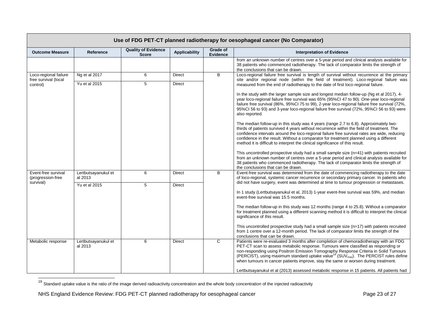| Use of FDG PET-CT planned radiotherapy for oesophageal cancer (No Comparator) |                                |                                            |                      |                      |                                                                                                                                                                                                                                                                                                                                                                                                                                                                           |  |  |
|-------------------------------------------------------------------------------|--------------------------------|--------------------------------------------|----------------------|----------------------|---------------------------------------------------------------------------------------------------------------------------------------------------------------------------------------------------------------------------------------------------------------------------------------------------------------------------------------------------------------------------------------------------------------------------------------------------------------------------|--|--|
| <b>Outcome Measure</b>                                                        | Reference                      | <b>Quality of Evidence</b><br><b>Score</b> | <b>Applicability</b> | Grade of<br>Evidence | <b>Interpretation of Evidence</b>                                                                                                                                                                                                                                                                                                                                                                                                                                         |  |  |
|                                                                               |                                |                                            |                      |                      | from an unknown number of centres over a 5-year period and clinical analysis available for<br>38 patients who commenced radiotherapy. The lack of comparator limits the strength of<br>the conclusions that can be drawn.                                                                                                                                                                                                                                                 |  |  |
| Loco-regional failure<br>free survival (local<br>control)                     | Ng et al 2017                  | 6                                          | <b>Direct</b>        | B                    | Loco-regional failure free survival is length of survival without recurrence at the primary<br>site and/or regional node (within the field of treatment). Loco-regional failure was<br>measured from the end of radiotherapy to the date of first loco-regional failure.                                                                                                                                                                                                  |  |  |
|                                                                               | Yu et al 2015                  | $\overline{5}$                             | <b>Direct</b>        |                      |                                                                                                                                                                                                                                                                                                                                                                                                                                                                           |  |  |
|                                                                               |                                |                                            |                      |                      | In the study with the larger sample size and longest median follow-up (Ng et al 2017), 4-<br>year loco-regional failure free survival was 65% (95%Cl 47 to 90). One-year loco-regional<br>failure free survival (86%, 95%Cl 75 to 99), 2-year loco-regional failure free survival (72%,<br>95%Cl 56 to 93) and 3-year loco-regional failure free survival (72%, 95%Cl 56 to 93) were<br>also reported.                                                                    |  |  |
|                                                                               |                                |                                            |                      |                      | The median follow-up in this study was 4 years (range 2.7 to 6.8). Approximately two-<br>thirds of patients survived 4 years without recurrence within the field of treatment. The<br>confidence intervals around the loco-regional failure free survival rates are wide, reducing<br>confidence in the result. Without a comparator for treatment planned using a different<br>method it is difficult to interpret the clinical significance of this result.             |  |  |
|                                                                               |                                |                                            |                      |                      | This uncontrolled prospective study had a small sample size (n=41) with patients recruited<br>from an unknown number of centres over a 5-year period and clinical analysis available for<br>38 patients who commenced radiotherapy. The lack of comparator limits the strength of<br>the conclusions that can be drawn.                                                                                                                                                   |  |  |
| Event-free survival<br>(progression-free<br>survival)                         | Lertbutsayanukul et<br>al 2013 | 6                                          | Direct               | B                    | Event-free survival was determined from the date of commencing radiotherapy to the date<br>of loco-regional, systemic cancer recurrence or secondary primary cancer. In patients who<br>did not have surgery, event was determined at time to tumour progression or metastases.                                                                                                                                                                                           |  |  |
|                                                                               | Yu et al 2015                  | 5                                          | Direct               |                      | In 1 study (Lertbutsayanukul et al, 2013) 1-year event-free survival was 59%, and median<br>event-free survival was 15.5 months.                                                                                                                                                                                                                                                                                                                                          |  |  |
|                                                                               |                                |                                            |                      |                      | The median follow-up in this study was 12 months (range 4 to 25.8). Without a comparator<br>for treatment planned using a different scanning method it is difficult to interpret the clinical<br>significance of this result.                                                                                                                                                                                                                                             |  |  |
|                                                                               |                                |                                            |                      |                      | This uncontrolled prospective study had a small sample size (n=17) with patients recruited<br>from 1 centre over a 12-month period. The lack of comparator limits the strength of the<br>conclusions that can be drawn.                                                                                                                                                                                                                                                   |  |  |
| Metabolic response                                                            | Lertbutsayanukul et<br>al 2013 | 6                                          | <b>Direct</b>        | $\overline{c}$       | Patients were re-evaluated 3 months after completion of chemoradiotherapy with an FDG<br>PET-CT scan to assess metabolic response. Tumours were classified as responding or<br>non-responding using Positron Emission Tomography Response Criteria in Solid Tumours<br>(PERCIST), using maximum standard uptake value <sup>19</sup> (SUV <sub>max</sub> ). The PERCIST rules define<br>when tumours in cancer patients improve, stay the same or worsen during treatment. |  |  |
|                                                                               |                                |                                            |                      |                      | Lertbutsayanukul et al (2013) assessed metabolic response in 15 patients. All patients had                                                                                                                                                                                                                                                                                                                                                                                |  |  |

<sup>&</sup>lt;sup>19</sup> Standard uptake value is the ratio of the image derived radioactivity concentration and the whole body concentration of the injected radioactivity

 $\overline{\phantom{a}}$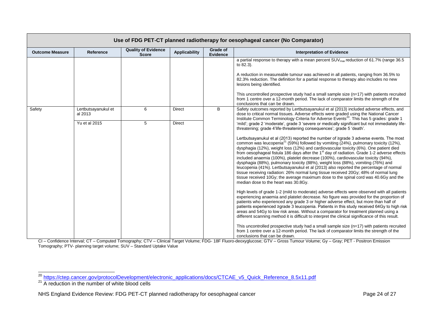| Use of FDG PET-CT planned radiotherapy for oesophageal cancer (No Comparator) |                                |                                            |                      |                                    |                                                                                                                                                                                                                                                                                                                                                                                                                                                                                                                                                                                                                                                                                                                                                                                                                                                                                                                                                                                                                                                                                                                                                                                                                                                                                                                                                                                                                                                                                                                                                                                                                                                                                                                                                                                                                                                                                |  |  |
|-------------------------------------------------------------------------------|--------------------------------|--------------------------------------------|----------------------|------------------------------------|--------------------------------------------------------------------------------------------------------------------------------------------------------------------------------------------------------------------------------------------------------------------------------------------------------------------------------------------------------------------------------------------------------------------------------------------------------------------------------------------------------------------------------------------------------------------------------------------------------------------------------------------------------------------------------------------------------------------------------------------------------------------------------------------------------------------------------------------------------------------------------------------------------------------------------------------------------------------------------------------------------------------------------------------------------------------------------------------------------------------------------------------------------------------------------------------------------------------------------------------------------------------------------------------------------------------------------------------------------------------------------------------------------------------------------------------------------------------------------------------------------------------------------------------------------------------------------------------------------------------------------------------------------------------------------------------------------------------------------------------------------------------------------------------------------------------------------------------------------------------------------|--|--|
| <b>Outcome Measure</b>                                                        | Reference                      | <b>Quality of Evidence</b><br><b>Score</b> | <b>Applicability</b> | <b>Grade of</b><br><b>Evidence</b> | <b>Interpretation of Evidence</b>                                                                                                                                                                                                                                                                                                                                                                                                                                                                                                                                                                                                                                                                                                                                                                                                                                                                                                                                                                                                                                                                                                                                                                                                                                                                                                                                                                                                                                                                                                                                                                                                                                                                                                                                                                                                                                              |  |  |
|                                                                               |                                |                                            |                      |                                    | a partial response to therapy with a mean percent SUV <sub>max</sub> reduction of 61.7% (range 36.5<br>to 82.3).<br>A reduction in measureable tumour was achieved in all patients, ranging from 36.5% to<br>82.3% reduction. The definition for a partial response to therapy also includes no new<br>lesions being identified.<br>This uncontrolled prospective study had a small sample size $(n=17)$ with patients recruited<br>from 1 centre over a 12-month period. The lack of comparator limits the strength of the<br>conclusions that can be drawn.                                                                                                                                                                                                                                                                                                                                                                                                                                                                                                                                                                                                                                                                                                                                                                                                                                                                                                                                                                                                                                                                                                                                                                                                                                                                                                                  |  |  |
| Safety                                                                        | Lertbutsayanukul et<br>al 2013 | 6                                          | <b>Direct</b>        | B                                  | Safety outcomes reported by Lertbutsayanukul et al (2013) included adverse effects, and<br>dose to critical normal tissues. Adverse effects were graded using the National Cancer<br>Institute Common Terminology Criteria for Adverse Events <sup>20</sup> . This has 5 grades: grade 1                                                                                                                                                                                                                                                                                                                                                                                                                                                                                                                                                                                                                                                                                                                                                                                                                                                                                                                                                                                                                                                                                                                                                                                                                                                                                                                                                                                                                                                                                                                                                                                       |  |  |
|                                                                               | Yu et al 2015                  | 5                                          | <b>Direct</b>        |                                    | 'mild'; grade 2 'moderate', grade 3 'severe or medically significant but not immediately life-<br>threatening; grade 4'life-threatening consequences'; grade 5 'death'.<br>Lertbutsayanukul et al (2013) reported the number of ≥grade 3 adverse events. The most<br>common was leucopenia <sup>21</sup> (59%) followed by vomiting (24%), pulmonary toxicity (12%),<br>dysphagia (12%), weight loss (12%) and cardiovascular toxicity (6%). One patient died<br>from oesophageal fistula 186 days after the 1 <sup>st</sup> day of radiation. Grade 1-2 adverse effects<br>included anaemia (100%), platelet decrease (100%), cardiovascular toxicity (94%),<br>dysphagia (88%), pulmonary toxicity (88%), weight loss (88%), vomiting (76%) and<br>leucopenia (41%). Lertbutsayanukul et al (2013) also reported the percentage of normal<br>tissue receiving radiation: 26% normal lung tissue received 20Gy; 48% of normal lung<br>tissue received 10Gy; the average maximum dose to the spinal cord was 40.6Gy and the<br>median dose to the heart was 30.8Gy.<br>High levels of grade 1-2 (mild to moderate) adverse effects were observed with all patients<br>experiencing anaemia and platelet decrease. No figure was provided for the proportion of<br>patients who experienced any grade 3 or higher adverse effect, but more than half of<br>patients experienced ≥grade 3 leucopenia. Patients in this study received 64Gy to high risk<br>areas and 54Gy to low risk areas. Without a comparator for treatment planned using a<br>different scanning method it is difficult to interpret the clinical significance of this result.<br>This uncontrolled prospective study had a small sample size $(n=17)$ with patients recruited<br>from 1 centre over a 12-month period. The lack of comparator limits the strength of the<br>conclusions that can be drawn. |  |  |

CI – Confidence Interval; CT – Computed Tomography; CTV – Clinical Target Volume; FDG- 18F Fluoro-deoxyglucose; GTV – Gross Tumour Volume; Gy – Gray; PET - Positron Emission Tomography; PTV- planning target volume; SUV – Standard Uptake Value

-

<sup>&</sup>lt;sup>20</sup> [https://ctep.cancer.gov/protocolDevelopment/electronic\\_applications/docs/CTCAE\\_v5\\_Quick\\_Reference\\_8.5x11.pdf](https://ctep.cancer.gov/protocolDevelopment/electronic_applications/docs/CTCAE_v5_Quick_Reference_8.5x11.pdf)

 $21$  A reduction in the number of white blood cells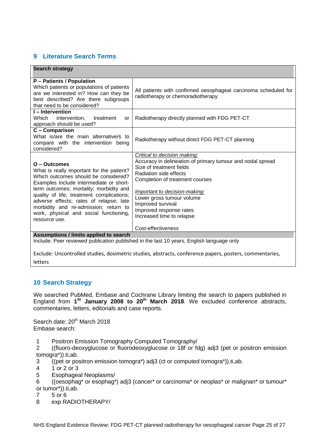# <span id="page-24-0"></span>**9 Literature Search Terms**

| <b>Search strategy</b>                                                                                                                                                                                                                                                                                                                                                              |                                                                                                                                                                                                                                                                                                                                |  |  |  |  |  |
|-------------------------------------------------------------------------------------------------------------------------------------------------------------------------------------------------------------------------------------------------------------------------------------------------------------------------------------------------------------------------------------|--------------------------------------------------------------------------------------------------------------------------------------------------------------------------------------------------------------------------------------------------------------------------------------------------------------------------------|--|--|--|--|--|
| P - Patients / Population<br>Which patients or populations of patients<br>are we interested in? How can they be<br>best described? Are there subgroups<br>that need to be considered?                                                                                                                                                                                               | All patients with confirmed oesophageal carcinoma scheduled for<br>radiotherapy or chemoradiotherapy                                                                                                                                                                                                                           |  |  |  |  |  |
| I-Intervention<br>Which intervention,<br>treatment<br>or<br>approach should be used?                                                                                                                                                                                                                                                                                                | Radiotherapy directly planned with FDG PET-CT                                                                                                                                                                                                                                                                                  |  |  |  |  |  |
| C - Comparison<br>What is/are the main alternative/s to<br>compare with the intervention being<br>considered?                                                                                                                                                                                                                                                                       | Radiotherapy without direct FDG PET-CT planning                                                                                                                                                                                                                                                                                |  |  |  |  |  |
| O - Outcomes<br>What is really important for the patient?<br>Which outcomes should be considered?<br>Examples include intermediate or short-<br>term outcomes; mortality; morbidity and<br>quality of life; treatment complications;<br>adverse effects; rates of relapse; late<br>morbidity and re-admission; return to<br>work, physical and social functioning,<br>resource use. | Critical to decision making:<br>Accuracy in delineation of primary tumour and nodal spread<br>Size of treatment fields<br>Radiation side effects<br>Completion of treatment courses<br>Important to decision-making:<br>Lower gross tumour volume<br>Improved survival<br>Improved response rates<br>Increased time to relapse |  |  |  |  |  |
|                                                                                                                                                                                                                                                                                                                                                                                     | Cost-effectiveness                                                                                                                                                                                                                                                                                                             |  |  |  |  |  |
| Assumptions / limits applied to search<br>Include: Peer reviewed publication published in the last 10 years, English language only                                                                                                                                                                                                                                                  |                                                                                                                                                                                                                                                                                                                                |  |  |  |  |  |

Exclude: Uncontrolled studies, dosimetric studies, abstracts, conference papers, posters, commentaries, letters

## <span id="page-24-1"></span>**10 Search Strategy**

We searched PubMed, Embase and Cochrane Library limiting the search to papers published in England from **1 St January 2008 to 20 th March 2018**. We excluded conference abstracts, commentaries, letters, editorials and case reports.

Search date: 20<sup>th</sup> March 2018 Embase search:

- 1 Positron Emission Tomography Computed Tomography/
- 2 ((fluoro-deoxyglucose or fluorodeoxyglucose or 18f or fdg) adj3 (pet or positron emission tomogra\*)).ti,ab.

3 ((pet or positron emission tomogra\*) adj3 (ct or computed tomogra\*)).ti,ab.

- 4 1 or 2 or 3
- 5 Esophageal Neoplasms/
- 6 ((oesophag\* or esophag\*) adj3 (cancer\* or carcinoma\* or neoplas\* or malignan\* or tumour\* or tumor\*)).ti,ab.
- 7 5 or 6
- 8 exp RADIOTHERAPY/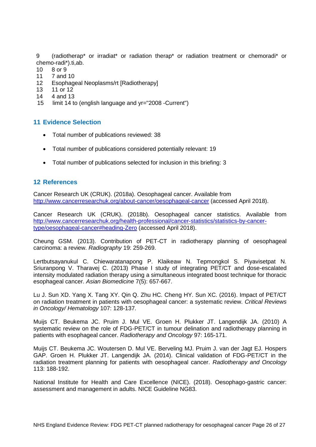9 (radiotherap\* or irradiat\* or radiation therap\* or radiation treatment or chemoradi\* or chemo-radi\*).ti,ab.

- 10 8 or 9
- 11 7 and 10
- 12 Esophageal Neoplasms/rt [Radiotherapy]<br>13 11 or 12
- 13 11 or 12<br>14 4 and 13
- 14 4 and 13<br>15 limit 14 to
- limit 14 to (english language and yr="2008 -Current")

## <span id="page-25-0"></span>**11 Evidence Selection**

- Total number of publications reviewed: 38
- Total number of publications considered potentially relevant: 19
- Total number of publications selected for inclusion in this briefing: 3

### <span id="page-25-1"></span>**12 References**

Cancer Research UK (CRUK). (2018a). Oesophageal cancer. Available from <http://www.cancerresearchuk.org/about-cancer/oesophageal-cancer> (accessed April 2018).

Cancer Research UK (CRUK). (2018b). Oesophageal cancer statistics. Available from [http://www.cancerresearchuk.org/health-professional/cancer-statistics/statistics-by-cancer](http://www.cancerresearchuk.org/health-professional/cancer-statistics/statistics-by-cancer-type/oesophageal-cancer#heading-Zero)[type/oesophageal-cancer#heading-Zero](http://www.cancerresearchuk.org/health-professional/cancer-statistics/statistics-by-cancer-type/oesophageal-cancer#heading-Zero) (accessed April 2018).

Cheung GSM. (2013). Contribution of PET-CT in radiotherapy planning of oesophageal carcinoma: a review. *Radiography* 19: 259-269.

Lertbutsayanukul C. Chiewaratanapong P. Klaikeaw N. Tepmongkol S. Piyavisetpat N. Sriuranpong V. Tharavej C. (2013) Phase I study of integrating PET/CT and dose-escalated intensity modulated radiation therapy using a simultaneous integrated boost technique for thoracic esophageal cancer. *Asian Biomedicine* 7(5): 657-667.

Lu J. Sun XD. Yang X. Tang XY. Qin Q. Zhu HC. Cheng HY. Sun XC. (2016). Impact of PET/CT on radiation treatment in patients with oesophageal cancer: a systematic review. *Critical Reviews in Oncology/ Hematology* 107: 128-137.

Muijs CT. Beukema JC. Pruim J. Mul VE. Groen H. Plukker JT. Langendijk JA. (2010) A systematic review on the role of FDG-PET/CT in tumour delination and radiotherapy planning in patients with esophageal cancer. *Radiotherapy and Oncology* 97: 165-171.

Muijs CT. Beukema JC. Woutersen D. Mul VE. Berveling MJ. Pruim J. van der Jagt EJ. Hospers GAP. Groen H. Plukker JT. Langendijk JA. (2014). Clinical validation of FDG-PET/CT in the radiation treatment planning for patients with oesophageal cancer. *Radiotherapy and Oncology* 113: 188-192.

National Institute for Health and Care Excellence (NICE). (2018). Oesophago-gastric cancer: assessment and management in adults. NICE Guideline NG83.